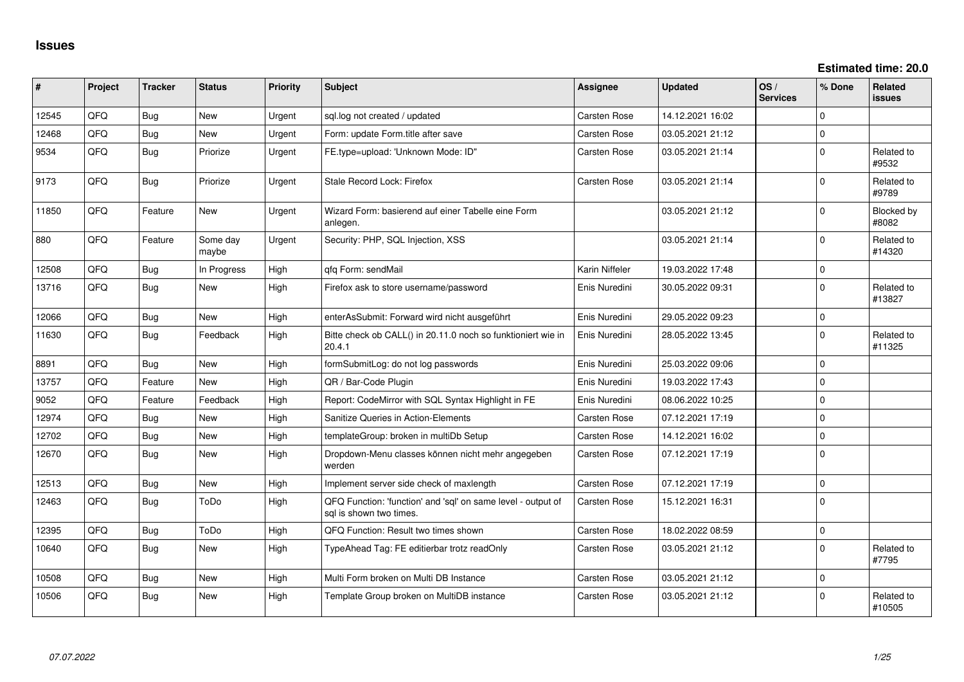**Estimated time: 20.0**

| #     | Project | <b>Tracker</b> | <b>Status</b>     | <b>Priority</b> | <b>Subject</b>                                                                          | <b>Assignee</b>     | <b>Updated</b>   | OS/<br><b>Services</b> | % Done       | <b>Related</b><br>issues |
|-------|---------|----------------|-------------------|-----------------|-----------------------------------------------------------------------------------------|---------------------|------------------|------------------------|--------------|--------------------------|
| 12545 | QFQ     | Bug            | <b>New</b>        | Urgent          | sql.log not created / updated                                                           | <b>Carsten Rose</b> | 14.12.2021 16:02 |                        | $\Omega$     |                          |
| 12468 | QFQ     | <b>Bug</b>     | New               | Urgent          | Form: update Form.title after save                                                      | <b>Carsten Rose</b> | 03.05.2021 21:12 |                        | $\mathbf 0$  |                          |
| 9534  | QFQ     | <b>Bug</b>     | Priorize          | Urgent          | FE.type=upload: 'Unknown Mode: ID"                                                      | Carsten Rose        | 03.05.2021 21:14 |                        | $\mathbf 0$  | Related to<br>#9532      |
| 9173  | QFQ     | Bug            | Priorize          | Urgent          | Stale Record Lock: Firefox                                                              | <b>Carsten Rose</b> | 03.05.2021 21:14 |                        | $\mathbf 0$  | Related to<br>#9789      |
| 11850 | QFQ     | Feature        | New               | Urgent          | Wizard Form: basierend auf einer Tabelle eine Form<br>anlegen.                          |                     | 03.05.2021 21:12 |                        | $\mathbf 0$  | Blocked by<br>#8082      |
| 880   | QFQ     | Feature        | Some day<br>maybe | Urgent          | Security: PHP, SQL Injection, XSS                                                       |                     | 03.05.2021 21:14 |                        | $\mathbf 0$  | Related to<br>#14320     |
| 12508 | QFQ     | <b>Bug</b>     | In Progress       | High            | qfq Form: sendMail                                                                      | Karin Niffeler      | 19.03.2022 17:48 |                        | $\mathbf{0}$ |                          |
| 13716 | QFQ     | <b>Bug</b>     | <b>New</b>        | High            | Firefox ask to store username/password                                                  | Enis Nuredini       | 30.05.2022 09:31 |                        | $\Omega$     | Related to<br>#13827     |
| 12066 | QFQ     | <b>Bug</b>     | New               | High            | enterAsSubmit: Forward wird nicht ausgeführt                                            | Enis Nuredini       | 29.05.2022 09:23 |                        | $\mathbf 0$  |                          |
| 11630 | QFQ     | <b>Bug</b>     | Feedback          | High            | Bitte check ob CALL() in 20.11.0 noch so funktioniert wie in<br>20.4.1                  | Enis Nuredini       | 28.05.2022 13:45 |                        | $\mathbf 0$  | Related to<br>#11325     |
| 8891  | QFQ     | <b>Bug</b>     | <b>New</b>        | High            | formSubmitLog: do not log passwords                                                     | Enis Nuredini       | 25.03.2022 09:06 |                        | $\mathbf 0$  |                          |
| 13757 | QFQ     | Feature        | <b>New</b>        | High            | QR / Bar-Code Plugin                                                                    | Enis Nuredini       | 19.03.2022 17:43 |                        | $\Omega$     |                          |
| 9052  | QFQ     | Feature        | Feedback          | High            | Report: CodeMirror with SQL Syntax Highlight in FE                                      | Enis Nuredini       | 08.06.2022 10:25 |                        | $\mathbf 0$  |                          |
| 12974 | QFQ     | Bug            | New               | High            | Sanitize Queries in Action-Elements                                                     | <b>Carsten Rose</b> | 07.12.2021 17:19 |                        | $\mathbf 0$  |                          |
| 12702 | QFQ     | <b>Bug</b>     | New               | High            | templateGroup: broken in multiDb Setup                                                  | <b>Carsten Rose</b> | 14.12.2021 16:02 |                        | $\mathsf 0$  |                          |
| 12670 | QFQ     | Bug            | New               | High            | Dropdown-Menu classes können nicht mehr angegeben<br>werden                             | <b>Carsten Rose</b> | 07.12.2021 17:19 |                        | $\mathbf 0$  |                          |
| 12513 | QFQ     | Bug            | New               | High            | Implement server side check of maxlength                                                | Carsten Rose        | 07.12.2021 17:19 |                        | $\mathbf 0$  |                          |
| 12463 | QFQ     | <b>Bug</b>     | ToDo              | High            | QFQ Function: 'function' and 'sql' on same level - output of<br>sal is shown two times. | <b>Carsten Rose</b> | 15.12.2021 16:31 |                        | $\Omega$     |                          |
| 12395 | QFQ     | <b>Bug</b>     | ToDo              | High            | QFQ Function: Result two times shown                                                    | <b>Carsten Rose</b> | 18.02.2022 08:59 |                        | $\mathsf 0$  |                          |
| 10640 | QFQ     | Bug            | New               | High            | TypeAhead Tag: FE editierbar trotz readOnly                                             | <b>Carsten Rose</b> | 03.05.2021 21:12 |                        | $\mathbf 0$  | Related to<br>#7795      |
| 10508 | QFQ     | Bug            | <b>New</b>        | High            | Multi Form broken on Multi DB Instance                                                  | <b>Carsten Rose</b> | 03.05.2021 21:12 |                        | $\mathbf 0$  |                          |
| 10506 | QFQ     | <b>Bug</b>     | <b>New</b>        | High            | Template Group broken on MultiDB instance                                               | <b>Carsten Rose</b> | 03.05.2021 21:12 |                        | $\Omega$     | Related to<br>#10505     |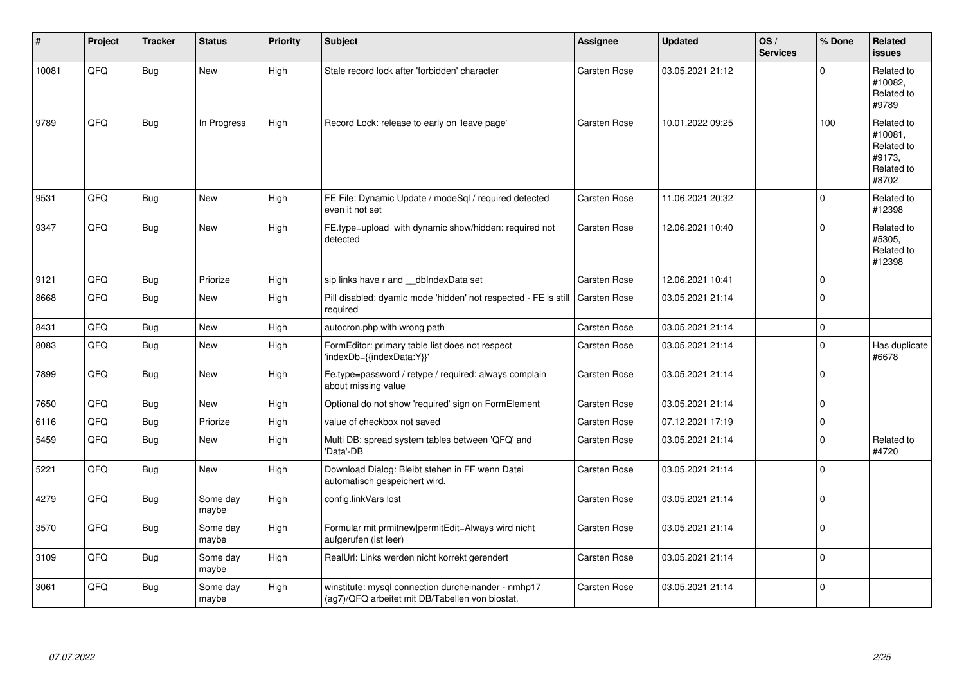| #     | Project | <b>Tracker</b> | <b>Status</b>     | <b>Priority</b> | <b>Subject</b>                                                                                         | <b>Assignee</b>     | <b>Updated</b>   | OS/<br><b>Services</b> | % Done   | Related<br><b>issues</b>                                             |
|-------|---------|----------------|-------------------|-----------------|--------------------------------------------------------------------------------------------------------|---------------------|------------------|------------------------|----------|----------------------------------------------------------------------|
| 10081 | QFQ     | Bug            | <b>New</b>        | High            | Stale record lock after 'forbidden' character                                                          | <b>Carsten Rose</b> | 03.05.2021 21:12 |                        | $\Omega$ | Related to<br>#10082,<br>Related to<br>#9789                         |
| 9789  | QFQ     | <b>Bug</b>     | In Progress       | High            | Record Lock: release to early on 'leave page'                                                          | <b>Carsten Rose</b> | 10.01.2022 09:25 |                        | 100      | Related to<br>#10081,<br>Related to<br>#9173,<br>Related to<br>#8702 |
| 9531  | QFQ     | <b>Bug</b>     | <b>New</b>        | High            | FE File: Dynamic Update / modeSql / required detected<br>even it not set                               | <b>Carsten Rose</b> | 11.06.2021 20:32 |                        | $\Omega$ | Related to<br>#12398                                                 |
| 9347  | QFQ     | <b>Bug</b>     | New               | High            | FE.type=upload with dynamic show/hidden: required not<br>detected                                      | Carsten Rose        | 12.06.2021 10:40 |                        | $\Omega$ | Related to<br>#5305,<br>Related to<br>#12398                         |
| 9121  | QFQ     | <b>Bug</b>     | Priorize          | High            | sip links have r and __dbIndexData set                                                                 | <b>Carsten Rose</b> | 12.06.2021 10:41 |                        | $\Omega$ |                                                                      |
| 8668  | QFQ     | <b>Bug</b>     | <b>New</b>        | High            | Pill disabled: dyamic mode 'hidden' not respected - FE is still<br>required                            | Carsten Rose        | 03.05.2021 21:14 |                        | $\Omega$ |                                                                      |
| 8431  | QFQ     | <b>Bug</b>     | New               | High            | autocron.php with wrong path                                                                           | Carsten Rose        | 03.05.2021 21:14 |                        | 0        |                                                                      |
| 8083  | QFQ     | <b>Bug</b>     | <b>New</b>        | High            | FormEditor: primary table list does not respect<br>'indexDb={{indexData:Y}}'                           | Carsten Rose        | 03.05.2021 21:14 |                        | $\Omega$ | Has duplicate<br>#6678                                               |
| 7899  | QFQ     | <b>Bug</b>     | New               | High            | Fe.type=password / retype / required: always complain<br>about missing value                           | <b>Carsten Rose</b> | 03.05.2021 21:14 |                        | $\Omega$ |                                                                      |
| 7650  | QFQ     | <b>Bug</b>     | New               | High            | Optional do not show 'required' sign on FormElement                                                    | <b>Carsten Rose</b> | 03.05.2021 21:14 |                        | $\Omega$ |                                                                      |
| 6116  | QFQ     | Bug            | Priorize          | High            | value of checkbox not saved                                                                            | Carsten Rose        | 07.12.2021 17:19 |                        | $\Omega$ |                                                                      |
| 5459  | QFQ     | <b>Bug</b>     | <b>New</b>        | High            | Multi DB: spread system tables between 'QFQ' and<br>'Data'-DB                                          | Carsten Rose        | 03.05.2021 21:14 |                        | $\Omega$ | Related to<br>#4720                                                  |
| 5221  | QFQ     | Bug            | <b>New</b>        | High            | Download Dialog: Bleibt stehen in FF wenn Datei<br>automatisch gespeichert wird.                       | Carsten Rose        | 03.05.2021 21:14 |                        | $\Omega$ |                                                                      |
| 4279  | QFQ     | <b>Bug</b>     | Some day<br>maybe | High            | config.linkVars lost                                                                                   | Carsten Rose        | 03.05.2021 21:14 |                        | $\Omega$ |                                                                      |
| 3570  | QFQ     | <b>Bug</b>     | Some day<br>maybe | High            | Formular mit prmitnew permitEdit=Always wird nicht<br>aufgerufen (ist leer)                            | Carsten Rose        | 03.05.2021 21:14 |                        | $\Omega$ |                                                                      |
| 3109  | QFQ     | <b>Bug</b>     | Some day<br>maybe | High            | RealUrl: Links werden nicht korrekt gerendert                                                          | Carsten Rose        | 03.05.2021 21:14 |                        | $\Omega$ |                                                                      |
| 3061  | QFQ     | <b>Bug</b>     | Some day<br>maybe | High            | winstitute: mysql connection durcheinander - nmhp17<br>(ag7)/QFQ arbeitet mit DB/Tabellen von biostat. | <b>Carsten Rose</b> | 03.05.2021 21:14 |                        | $\Omega$ |                                                                      |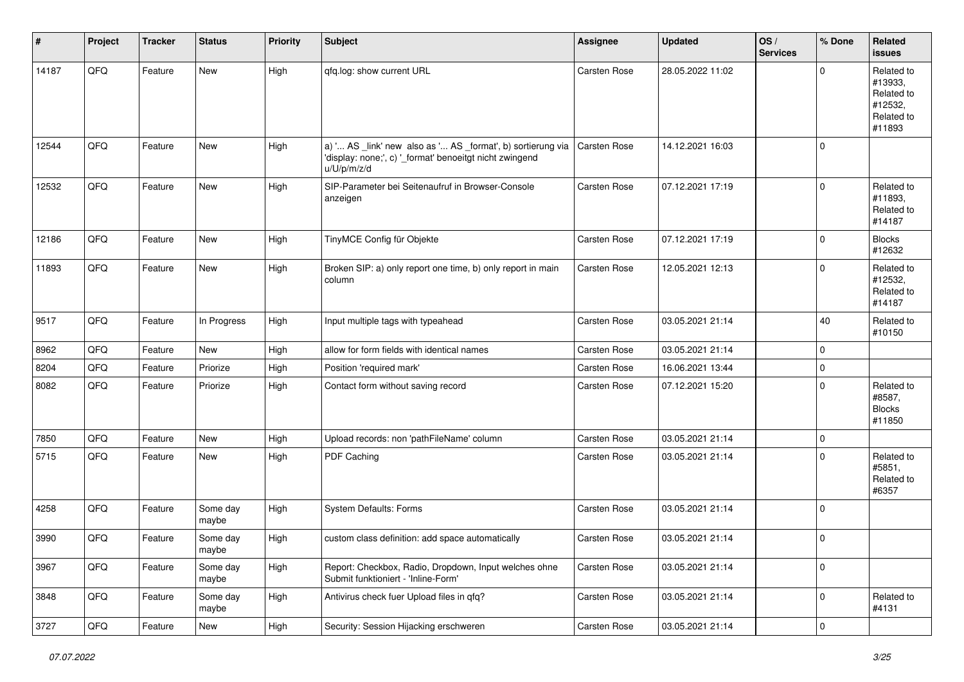| $\vert$ # | Project | <b>Tracker</b> | <b>Status</b>     | <b>Priority</b> | <b>Subject</b>                                                                                                                        | <b>Assignee</b>     | <b>Updated</b>   | OS/<br><b>Services</b> | % Done      | <b>Related</b><br>issues                                               |
|-----------|---------|----------------|-------------------|-----------------|---------------------------------------------------------------------------------------------------------------------------------------|---------------------|------------------|------------------------|-------------|------------------------------------------------------------------------|
| 14187     | QFQ     | Feature        | New               | High            | qfq.log: show current URL                                                                                                             | Carsten Rose        | 28.05.2022 11:02 |                        | $\Omega$    | Related to<br>#13933,<br>Related to<br>#12532,<br>Related to<br>#11893 |
| 12544     | QFQ     | Feature        | New               | High            | a) ' AS _link' new also as ' AS _format', b) sortierung via<br>'display: none;', c) '_format' benoeitgt nicht zwingend<br>u/U/p/m/z/d | Carsten Rose        | 14.12.2021 16:03 |                        | $\mathbf 0$ |                                                                        |
| 12532     | QFQ     | Feature        | New               | High            | SIP-Parameter bei Seitenaufruf in Browser-Console<br>anzeigen                                                                         | Carsten Rose        | 07.12.2021 17:19 |                        | $\mathbf 0$ | Related to<br>#11893,<br>Related to<br>#14187                          |
| 12186     | QFQ     | Feature        | New               | High            | TinyMCE Config für Objekte                                                                                                            | Carsten Rose        | 07.12.2021 17:19 |                        | $\mathbf 0$ | <b>Blocks</b><br>#12632                                                |
| 11893     | QFQ     | Feature        | New               | High            | Broken SIP: a) only report one time, b) only report in main<br>column                                                                 | Carsten Rose        | 12.05.2021 12:13 |                        | $\mathbf 0$ | Related to<br>#12532,<br>Related to<br>#14187                          |
| 9517      | QFQ     | Feature        | In Progress       | High            | Input multiple tags with typeahead                                                                                                    | Carsten Rose        | 03.05.2021 21:14 |                        | 40          | Related to<br>#10150                                                   |
| 8962      | QFQ     | Feature        | New               | High            | allow for form fields with identical names                                                                                            | Carsten Rose        | 03.05.2021 21:14 |                        | 0           |                                                                        |
| 8204      | QFQ     | Feature        | Priorize          | High            | Position 'required mark'                                                                                                              | Carsten Rose        | 16.06.2021 13:44 |                        | $\mathbf 0$ |                                                                        |
| 8082      | QFQ     | Feature        | Priorize          | High            | Contact form without saving record                                                                                                    | Carsten Rose        | 07.12.2021 15:20 |                        | $\mathbf 0$ | Related to<br>#8587,<br><b>Blocks</b><br>#11850                        |
| 7850      | QFQ     | Feature        | New               | High            | Upload records: non 'pathFileName' column                                                                                             | Carsten Rose        | 03.05.2021 21:14 |                        | $\mathbf 0$ |                                                                        |
| 5715      | QFQ     | Feature        | New               | High            | PDF Caching                                                                                                                           | <b>Carsten Rose</b> | 03.05.2021 21:14 |                        | $\Omega$    | Related to<br>#5851,<br>Related to<br>#6357                            |
| 4258      | QFQ     | Feature        | Some day<br>maybe | High            | System Defaults: Forms                                                                                                                | Carsten Rose        | 03.05.2021 21:14 |                        | $\mathbf 0$ |                                                                        |
| 3990      | QFQ     | Feature        | Some day<br>maybe | High            | custom class definition: add space automatically                                                                                      | Carsten Rose        | 03.05.2021 21:14 |                        | $\mathbf 0$ |                                                                        |
| 3967      | QFQ     | Feature        | Some day<br>maybe | High            | Report: Checkbox, Radio, Dropdown, Input welches ohne<br>Submit funktioniert - 'Inline-Form'                                          | Carsten Rose        | 03.05.2021 21:14 |                        | 0           |                                                                        |
| 3848      | QFQ     | Feature        | Some day<br>maybe | High            | Antivirus check fuer Upload files in qfq?                                                                                             | Carsten Rose        | 03.05.2021 21:14 |                        | 0           | Related to<br>#4131                                                    |
| 3727      | QFG     | Feature        | New               | High            | Security: Session Hijacking erschweren                                                                                                | Carsten Rose        | 03.05.2021 21:14 |                        | $\pmb{0}$   |                                                                        |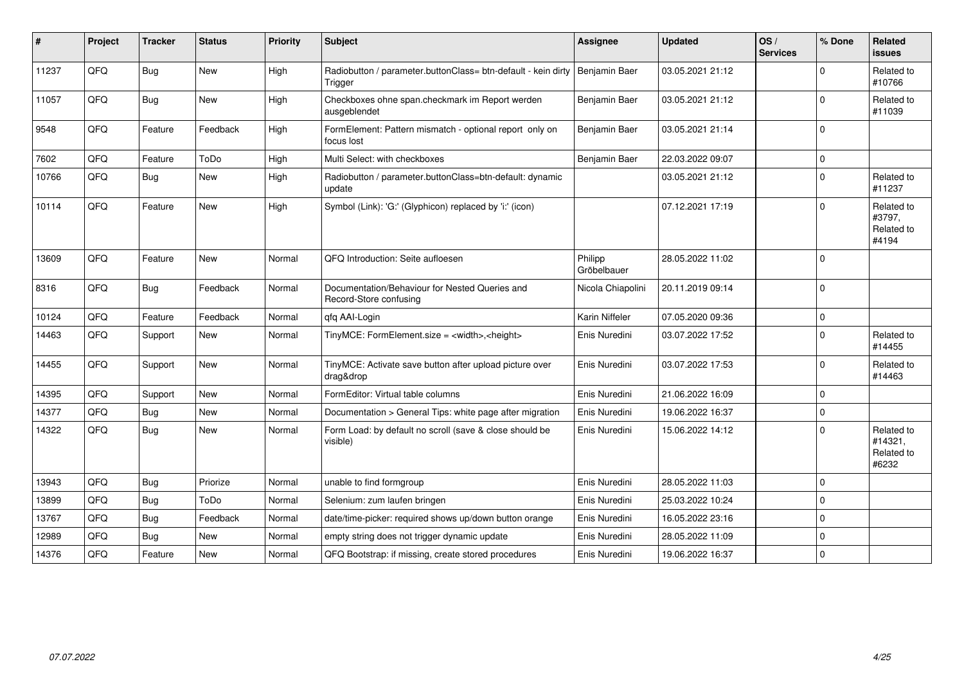| #     | Project | <b>Tracker</b> | <b>Status</b> | <b>Priority</b> | <b>Subject</b>                                                           | <b>Assignee</b>        | <b>Updated</b>   | OS/<br><b>Services</b> | % Done      | <b>Related</b><br>issues                     |
|-------|---------|----------------|---------------|-----------------|--------------------------------------------------------------------------|------------------------|------------------|------------------------|-------------|----------------------------------------------|
| 11237 | QFQ     | <b>Bug</b>     | <b>New</b>    | High            | Radiobutton / parameter.buttonClass= btn-default - kein dirty<br>Trigger | Benjamin Baer          | 03.05.2021 21:12 |                        | $\Omega$    | Related to<br>#10766                         |
| 11057 | QFQ     | <b>Bug</b>     | New           | High            | Checkboxes ohne span.checkmark im Report werden<br>ausgeblendet          | Benjamin Baer          | 03.05.2021 21:12 |                        | $\mathbf 0$ | Related to<br>#11039                         |
| 9548  | QFQ     | Feature        | Feedback      | High            | FormElement: Pattern mismatch - optional report only on<br>focus lost    | Benjamin Baer          | 03.05.2021 21:14 |                        | $\mathbf 0$ |                                              |
| 7602  | QFQ     | Feature        | ToDo          | High            | Multi Select: with checkboxes                                            | Benjamin Baer          | 22.03.2022 09:07 |                        | $\mathbf 0$ |                                              |
| 10766 | QFQ     | <b>Bug</b>     | <b>New</b>    | High            | Radiobutton / parameter.buttonClass=btn-default: dynamic<br>update       |                        | 03.05.2021 21:12 |                        | $\mathbf 0$ | Related to<br>#11237                         |
| 10114 | QFQ     | Feature        | <b>New</b>    | High            | Symbol (Link): 'G:' (Glyphicon) replaced by 'i:' (icon)                  |                        | 07.12.2021 17:19 |                        | $\Omega$    | Related to<br>#3797,<br>Related to<br>#4194  |
| 13609 | QFQ     | Feature        | New           | Normal          | QFQ Introduction: Seite aufloesen                                        | Philipp<br>Gröbelbauer | 28.05.2022 11:02 |                        | $\mathbf 0$ |                                              |
| 8316  | QFQ     | <b>Bug</b>     | Feedback      | Normal          | Documentation/Behaviour for Nested Queries and<br>Record-Store confusing | Nicola Chiapolini      | 20.11.2019 09:14 |                        | $\mathbf 0$ |                                              |
| 10124 | QFQ     | Feature        | Feedback      | Normal          | gfg AAI-Login                                                            | Karin Niffeler         | 07.05.2020 09:36 |                        | $\mathbf 0$ |                                              |
| 14463 | QFQ     | Support        | New           | Normal          | TinyMCE: FormElement.size = <width>,<height></height></width>            | Enis Nuredini          | 03.07.2022 17:52 |                        | $\mathbf 0$ | Related to<br>#14455                         |
| 14455 | QFQ     | Support        | New           | Normal          | TinyMCE: Activate save button after upload picture over<br>drag&drop     | Enis Nuredini          | 03.07.2022 17:53 |                        | $\Omega$    | Related to<br>#14463                         |
| 14395 | QFQ     | Support        | New           | Normal          | FormEditor: Virtual table columns                                        | Enis Nuredini          | 21.06.2022 16:09 |                        | $\mathbf 0$ |                                              |
| 14377 | QFQ     | Bug            | <b>New</b>    | Normal          | Documentation > General Tips: white page after migration                 | Enis Nuredini          | 19.06.2022 16:37 |                        | $\mathbf 0$ |                                              |
| 14322 | QFQ     | <b>Bug</b>     | New           | Normal          | Form Load: by default no scroll (save & close should be<br>visible)      | Enis Nuredini          | 15.06.2022 14:12 |                        | $\mathbf 0$ | Related to<br>#14321,<br>Related to<br>#6232 |
| 13943 | QFQ     | Bug            | Priorize      | Normal          | unable to find formgroup                                                 | Enis Nuredini          | 28.05.2022 11:03 |                        | $\mathbf 0$ |                                              |
| 13899 | QFQ     | <b>Bug</b>     | ToDo          | Normal          | Selenium: zum laufen bringen                                             | Enis Nuredini          | 25.03.2022 10:24 |                        | $\pmb{0}$   |                                              |
| 13767 | QFQ     | <b>Bug</b>     | Feedback      | Normal          | date/time-picker: required shows up/down button orange                   | Enis Nuredini          | 16.05.2022 23:16 |                        | $\mathbf 0$ |                                              |
| 12989 | QFQ     | <b>Bug</b>     | New           | Normal          | empty string does not trigger dynamic update                             | Enis Nuredini          | 28.05.2022 11:09 |                        | $\pmb{0}$   |                                              |
| 14376 | QFQ     | Feature        | New           | Normal          | QFQ Bootstrap: if missing, create stored procedures                      | Enis Nuredini          | 19.06.2022 16:37 |                        | $\pmb{0}$   |                                              |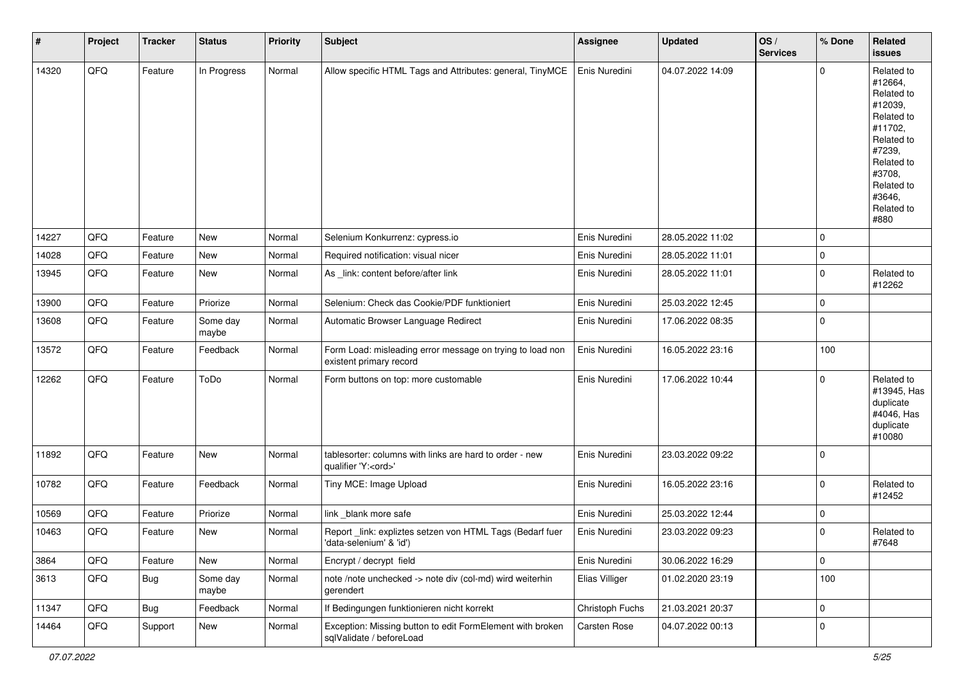| $\vert$ # | Project | <b>Tracker</b> | <b>Status</b>     | <b>Priority</b> | <b>Subject</b>                                                                        | <b>Assignee</b> | <b>Updated</b>   | OS/<br><b>Services</b> | % Done      | Related<br><b>issues</b>                                                                                                                                              |
|-----------|---------|----------------|-------------------|-----------------|---------------------------------------------------------------------------------------|-----------------|------------------|------------------------|-------------|-----------------------------------------------------------------------------------------------------------------------------------------------------------------------|
| 14320     | QFQ     | Feature        | In Progress       | Normal          | Allow specific HTML Tags and Attributes: general, TinyMCE                             | Enis Nuredini   | 04.07.2022 14:09 |                        | $\Omega$    | Related to<br>#12664,<br>Related to<br>#12039,<br>Related to<br>#11702,<br>Related to<br>#7239,<br>Related to<br>#3708,<br>Related to<br>#3646,<br>Related to<br>#880 |
| 14227     | QFQ     | Feature        | <b>New</b>        | Normal          | Selenium Konkurrenz: cypress.io                                                       | Enis Nuredini   | 28.05.2022 11:02 |                        | $\mathbf 0$ |                                                                                                                                                                       |
| 14028     | QFQ     | Feature        | New               | Normal          | Required notification: visual nicer                                                   | Enis Nuredini   | 28.05.2022 11:01 |                        | $\mathbf 0$ |                                                                                                                                                                       |
| 13945     | QFQ     | Feature        | New               | Normal          | As _link: content before/after link                                                   | Enis Nuredini   | 28.05.2022 11:01 |                        | $\mathbf 0$ | Related to<br>#12262                                                                                                                                                  |
| 13900     | QFQ     | Feature        | Priorize          | Normal          | Selenium: Check das Cookie/PDF funktioniert                                           | Enis Nuredini   | 25.03.2022 12:45 |                        | $\mathbf 0$ |                                                                                                                                                                       |
| 13608     | QFQ     | Feature        | Some day<br>maybe | Normal          | Automatic Browser Language Redirect                                                   | Enis Nuredini   | 17.06.2022 08:35 |                        | $\mathbf 0$ |                                                                                                                                                                       |
| 13572     | QFQ     | Feature        | Feedback          | Normal          | Form Load: misleading error message on trying to load non<br>existent primary record  | Enis Nuredini   | 16.05.2022 23:16 |                        | 100         |                                                                                                                                                                       |
| 12262     | QFQ     | Feature        | ToDo              | Normal          | Form buttons on top: more customable                                                  | Enis Nuredini   | 17.06.2022 10:44 |                        | $\mathbf 0$ | Related to<br>#13945, Has<br>duplicate<br>#4046, Has<br>duplicate<br>#10080                                                                                           |
| 11892     | QFQ     | Feature        | New               | Normal          | tablesorter: columns with links are hard to order - new<br>qualifier 'Y: <ord>'</ord> | Enis Nuredini   | 23.03.2022 09:22 |                        | $\mathbf 0$ |                                                                                                                                                                       |
| 10782     | QFQ     | Feature        | Feedback          | Normal          | Tiny MCE: Image Upload                                                                | Enis Nuredini   | 16.05.2022 23:16 |                        | $\mathbf 0$ | Related to<br>#12452                                                                                                                                                  |
| 10569     | QFQ     | Feature        | Priorize          | Normal          | link blank more safe                                                                  | Enis Nuredini   | 25.03.2022 12:44 |                        | $\mathbf 0$ |                                                                                                                                                                       |
| 10463     | QFQ     | Feature        | New               | Normal          | Report_link: expliztes setzen von HTML Tags (Bedarf fuer<br>'data-selenium' & 'id')   | Enis Nuredini   | 23.03.2022 09:23 |                        | $\mathbf 0$ | Related to<br>#7648                                                                                                                                                   |
| 3864      | QFQ     | Feature        | New               | Normal          | Encrypt / decrypt field                                                               | Enis Nuredini   | 30.06.2022 16:29 |                        | $\mathbf 0$ |                                                                                                                                                                       |
| 3613      | QFQ     | Bug            | Some day<br>maybe | Normal          | note /note unchecked -> note div (col-md) wird weiterhin<br>gerendert                 | Elias Villiger  | 01.02.2020 23:19 |                        | 100         |                                                                                                                                                                       |
| 11347     | QFQ     | <b>Bug</b>     | Feedback          | Normal          | If Bedingungen funktionieren nicht korrekt                                            | Christoph Fuchs | 21.03.2021 20:37 |                        | $\pmb{0}$   |                                                                                                                                                                       |
| 14464     | QFQ     | Support        | New               | Normal          | Exception: Missing button to edit FormElement with broken<br>sqlValidate / beforeLoad | Carsten Rose    | 04.07.2022 00:13 |                        | $\mathbf 0$ |                                                                                                                                                                       |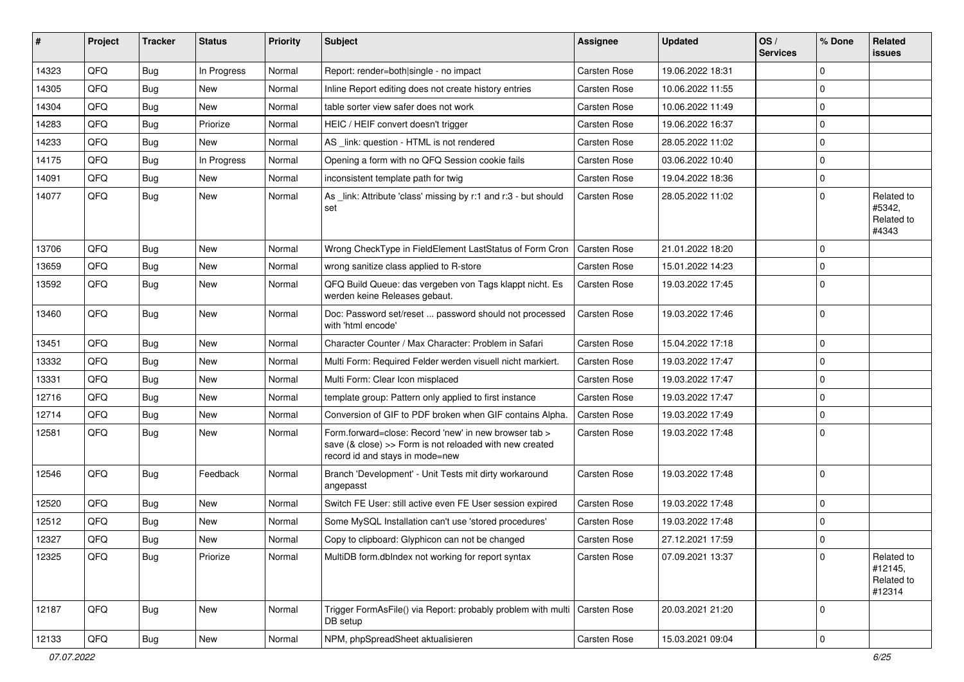| #     | Project | <b>Tracker</b> | <b>Status</b> | <b>Priority</b> | <b>Subject</b>                                                                                                                                      | Assignee            | <b>Updated</b>   | OS/<br><b>Services</b> | % Done    | Related<br>issues                             |
|-------|---------|----------------|---------------|-----------------|-----------------------------------------------------------------------------------------------------------------------------------------------------|---------------------|------------------|------------------------|-----------|-----------------------------------------------|
| 14323 | QFQ     | <b>Bug</b>     | In Progress   | Normal          | Report: render=both single - no impact                                                                                                              | Carsten Rose        | 19.06.2022 18:31 |                        | $\Omega$  |                                               |
| 14305 | QFQ     | <b>Bug</b>     | New           | Normal          | Inline Report editing does not create history entries                                                                                               | Carsten Rose        | 10.06.2022 11:55 |                        | $\Omega$  |                                               |
| 14304 | QFQ     | <b>Bug</b>     | New           | Normal          | table sorter view safer does not work                                                                                                               | Carsten Rose        | 10.06.2022 11:49 |                        | $\Omega$  |                                               |
| 14283 | QFQ     | <b>Bug</b>     | Priorize      | Normal          | HEIC / HEIF convert doesn't trigger                                                                                                                 | Carsten Rose        | 19.06.2022 16:37 |                        | $\Omega$  |                                               |
| 14233 | QFQ     | <b>Bug</b>     | New           | Normal          | AS _link: question - HTML is not rendered                                                                                                           | <b>Carsten Rose</b> | 28.05.2022 11:02 |                        | $\Omega$  |                                               |
| 14175 | QFQ     | <b>Bug</b>     | In Progress   | Normal          | Opening a form with no QFQ Session cookie fails                                                                                                     | Carsten Rose        | 03.06.2022 10:40 |                        | $\Omega$  |                                               |
| 14091 | QFQ     | <b>Bug</b>     | New           | Normal          | inconsistent template path for twig                                                                                                                 | Carsten Rose        | 19.04.2022 18:36 |                        | $\Omega$  |                                               |
| 14077 | QFQ     | Bug            | New           | Normal          | As _link: Attribute 'class' missing by r:1 and r:3 - but should<br>set                                                                              | <b>Carsten Rose</b> | 28.05.2022 11:02 |                        | $\Omega$  | Related to<br>#5342,<br>Related to<br>#4343   |
| 13706 | QFQ     | <b>Bug</b>     | New           | Normal          | Wrong CheckType in FieldElement LastStatus of Form Cron                                                                                             | Carsten Rose        | 21.01.2022 18:20 |                        | $\Omega$  |                                               |
| 13659 | QFQ     | <b>Bug</b>     | <b>New</b>    | Normal          | wrong sanitize class applied to R-store                                                                                                             | Carsten Rose        | 15.01.2022 14:23 |                        | $\Omega$  |                                               |
| 13592 | QFQ     | Bug            | New           | Normal          | QFQ Build Queue: das vergeben von Tags klappt nicht. Es<br>werden keine Releases gebaut.                                                            | Carsten Rose        | 19.03.2022 17:45 |                        | $\Omega$  |                                               |
| 13460 | QFQ     | Bug            | New           | Normal          | Doc: Password set/reset  password should not processed<br>with 'html encode'                                                                        | Carsten Rose        | 19.03.2022 17:46 |                        | $\Omega$  |                                               |
| 13451 | QFQ     | <b>Bug</b>     | New           | Normal          | Character Counter / Max Character: Problem in Safari                                                                                                | Carsten Rose        | 15.04.2022 17:18 |                        | $\Omega$  |                                               |
| 13332 | QFQ     | <b>Bug</b>     | New           | Normal          | Multi Form: Required Felder werden visuell nicht markiert.                                                                                          | Carsten Rose        | 19.03.2022 17:47 |                        | $\Omega$  |                                               |
| 13331 | QFQ     | <b>Bug</b>     | New           | Normal          | Multi Form: Clear Icon misplaced                                                                                                                    | Carsten Rose        | 19.03.2022 17:47 |                        | $\Omega$  |                                               |
| 12716 | QFQ     | <b>Bug</b>     | New           | Normal          | template group: Pattern only applied to first instance                                                                                              | Carsten Rose        | 19.03.2022 17:47 |                        | $\Omega$  |                                               |
| 12714 | QFQ     | <b>Bug</b>     | New           | Normal          | Conversion of GIF to PDF broken when GIF contains Alpha.                                                                                            | <b>Carsten Rose</b> | 19.03.2022 17:49 |                        | $\Omega$  |                                               |
| 12581 | QFQ     | Bug            | New           | Normal          | Form.forward=close: Record 'new' in new browser tab ><br>save (& close) >> Form is not reloaded with new created<br>record id and stays in mode=new | Carsten Rose        | 19.03.2022 17:48 |                        | $\Omega$  |                                               |
| 12546 | QFQ     | Bug            | Feedback      | Normal          | Branch 'Development' - Unit Tests mit dirty workaround<br>angepasst                                                                                 | Carsten Rose        | 19.03.2022 17:48 |                        | $\Omega$  |                                               |
| 12520 | QFQ     | <b>Bug</b>     | New           | Normal          | Switch FE User: still active even FE User session expired                                                                                           | Carsten Rose        | 19.03.2022 17:48 |                        | $\Omega$  |                                               |
| 12512 | QFQ     | <b>Bug</b>     | New           | Normal          | Some MySQL Installation can't use 'stored procedures'                                                                                               | Carsten Rose        | 19.03.2022 17:48 |                        | $\Omega$  |                                               |
| 12327 | QFQ     | <b>Bug</b>     | New           | Normal          | Copy to clipboard: Glyphicon can not be changed                                                                                                     | <b>Carsten Rose</b> | 27.12.2021 17:59 |                        | $\Omega$  |                                               |
| 12325 | QFQ     | Bug            | Priorize      | Normal          | MultiDB form.dblndex not working for report syntax                                                                                                  | Carsten Rose        | 07.09.2021 13:37 |                        | $\Omega$  | Related to<br>#12145,<br>Related to<br>#12314 |
| 12187 | QFQ     | Bug            | New           | Normal          | Trigger FormAsFile() via Report: probably problem with multi<br>DB setup                                                                            | Carsten Rose        | 20.03.2021 21:20 |                        | $\Omega$  |                                               |
| 12133 | QFQ     | Bug            | New           | Normal          | NPM, phpSpreadSheet aktualisieren                                                                                                                   | Carsten Rose        | 15.03.2021 09:04 |                        | $\pmb{0}$ |                                               |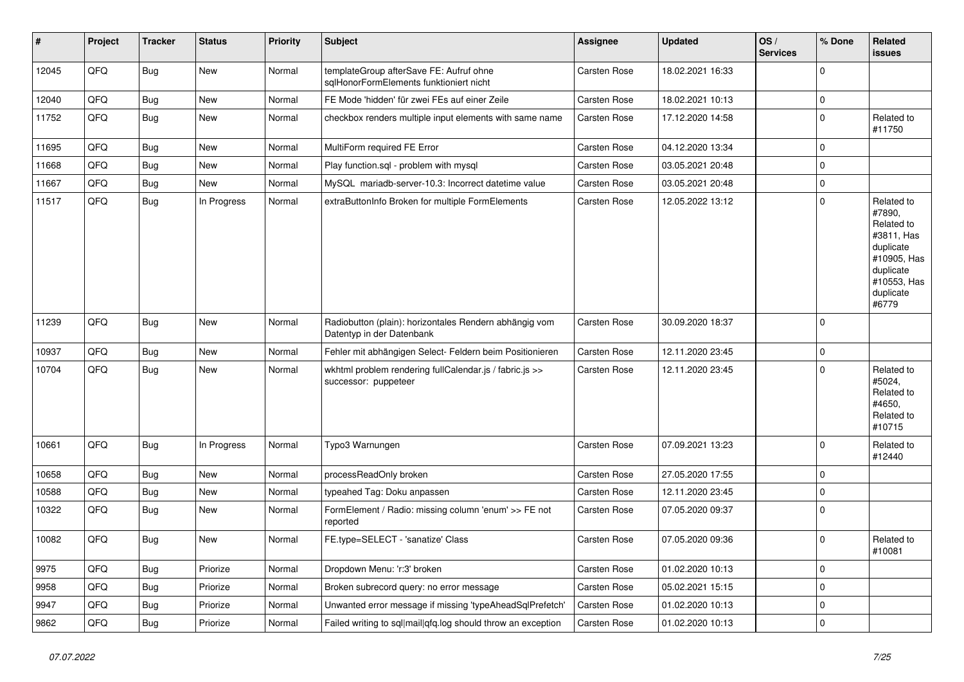| #     | Project | <b>Tracker</b> | <b>Status</b> | <b>Priority</b> | <b>Subject</b>                                                                      | <b>Assignee</b> | <b>Updated</b>   | OS/<br><b>Services</b> | % Done      | Related<br>issues                                                                                                              |
|-------|---------|----------------|---------------|-----------------|-------------------------------------------------------------------------------------|-----------------|------------------|------------------------|-------------|--------------------------------------------------------------------------------------------------------------------------------|
| 12045 | QFQ     | <b>Bug</b>     | New           | Normal          | templateGroup afterSave FE: Aufruf ohne<br>sglHonorFormElements funktioniert nicht  | Carsten Rose    | 18.02.2021 16:33 |                        | $\Omega$    |                                                                                                                                |
| 12040 | QFQ     | <b>Bug</b>     | New           | Normal          | FE Mode 'hidden' für zwei FEs auf einer Zeile                                       | Carsten Rose    | 18.02.2021 10:13 |                        | $\mathbf 0$ |                                                                                                                                |
| 11752 | QFG     | <b>Bug</b>     | New           | Normal          | checkbox renders multiple input elements with same name                             | Carsten Rose    | 17.12.2020 14:58 |                        | $\Omega$    | Related to<br>#11750                                                                                                           |
| 11695 | QFQ     | <b>Bug</b>     | New           | Normal          | MultiForm required FE Error                                                         | Carsten Rose    | 04.12.2020 13:34 |                        | $\Omega$    |                                                                                                                                |
| 11668 | QFQ     | <b>Bug</b>     | New           | Normal          | Play function.sql - problem with mysql                                              | Carsten Rose    | 03.05.2021 20:48 |                        | $\Omega$    |                                                                                                                                |
| 11667 | QFQ     | <b>Bug</b>     | New           | Normal          | MySQL mariadb-server-10.3: Incorrect datetime value                                 | Carsten Rose    | 03.05.2021 20:48 |                        | $\Omega$    |                                                                                                                                |
| 11517 | QFQ     | <b>Bug</b>     | In Progress   | Normal          | extraButtonInfo Broken for multiple FormElements                                    | Carsten Rose    | 12.05.2022 13:12 |                        | $\Omega$    | Related to<br>#7890,<br>Related to<br>#3811, Has<br>duplicate<br>#10905, Has<br>duplicate<br>#10553, Has<br>duplicate<br>#6779 |
| 11239 | QFQ     | <b>Bug</b>     | New           | Normal          | Radiobutton (plain): horizontales Rendern abhängig vom<br>Datentyp in der Datenbank | Carsten Rose    | 30.09.2020 18:37 |                        | $\Omega$    |                                                                                                                                |
| 10937 | QFQ     | <b>Bug</b>     | New           | Normal          | Fehler mit abhängigen Select- Feldern beim Positionieren                            | Carsten Rose    | 12.11.2020 23:45 |                        | $\Omega$    |                                                                                                                                |
| 10704 | QFQ     | <b>Bug</b>     | New           | Normal          | wkhtml problem rendering fullCalendar.js / fabric.js >><br>successor: puppeteer     | Carsten Rose    | 12.11.2020 23:45 |                        | $\Omega$    | Related to<br>#5024,<br>Related to<br>#4650,<br>Related to<br>#10715                                                           |
| 10661 | QFG     | <b>Bug</b>     | In Progress   | Normal          | Typo3 Warnungen                                                                     | Carsten Rose    | 07.09.2021 13:23 |                        | $\Omega$    | Related to<br>#12440                                                                                                           |
| 10658 | QFQ     | Bug            | New           | Normal          | processReadOnly broken                                                              | Carsten Rose    | 27.05.2020 17:55 |                        | 0           |                                                                                                                                |
| 10588 | QFQ     | <b>Bug</b>     | New           | Normal          | typeahed Tag: Doku anpassen                                                         | Carsten Rose    | 12.11.2020 23:45 |                        | $\Omega$    |                                                                                                                                |
| 10322 | QFQ     | <b>Bug</b>     | New           | Normal          | FormElement / Radio: missing column 'enum' >> FE not<br>reported                    | Carsten Rose    | 07.05.2020 09:37 |                        | $\Omega$    |                                                                                                                                |
| 10082 | QFQ     | Bug            | New           | Normal          | FE.type=SELECT - 'sanatize' Class                                                   | Carsten Rose    | 07.05.2020 09:36 |                        | 0           | Related to<br>#10081                                                                                                           |
| 9975  | QFQ     | Bug            | Priorize      | Normal          | Dropdown Menu: 'r:3' broken                                                         | Carsten Rose    | 01.02.2020 10:13 |                        | 0           |                                                                                                                                |
| 9958  | QFQ     | Bug            | Priorize      | Normal          | Broken subrecord query: no error message                                            | Carsten Rose    | 05.02.2021 15:15 |                        | 0           |                                                                                                                                |
| 9947  | QFQ     | Bug            | Priorize      | Normal          | Unwanted error message if missing 'typeAheadSqlPrefetch'                            | Carsten Rose    | 01.02.2020 10:13 |                        | 0           |                                                                                                                                |
| 9862  | QFQ     | <b>Bug</b>     | Priorize      | Normal          | Failed writing to sql mail qfq.log should throw an exception                        | Carsten Rose    | 01.02.2020 10:13 |                        | $\mathbf 0$ |                                                                                                                                |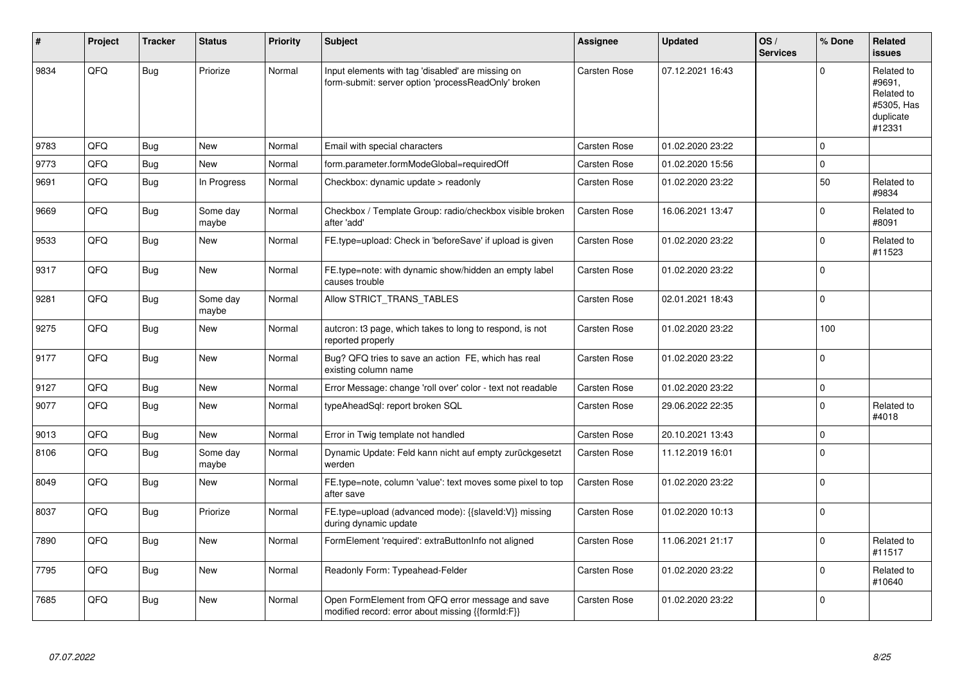| #    | Project | <b>Tracker</b> | <b>Status</b>     | <b>Priority</b> | <b>Subject</b>                                                                                           | <b>Assignee</b>     | <b>Updated</b>   | OS/<br><b>Services</b> | % Done      | <b>Related</b><br><b>issues</b>                                         |
|------|---------|----------------|-------------------|-----------------|----------------------------------------------------------------------------------------------------------|---------------------|------------------|------------------------|-------------|-------------------------------------------------------------------------|
| 9834 | QFQ     | <b>Bug</b>     | Priorize          | Normal          | Input elements with tag 'disabled' are missing on<br>form-submit: server option 'processReadOnly' broken | Carsten Rose        | 07.12.2021 16:43 |                        | $\Omega$    | Related to<br>#9691,<br>Related to<br>#5305, Has<br>duplicate<br>#12331 |
| 9783 | QFQ     | Bug            | New               | Normal          | Email with special characters                                                                            | <b>Carsten Rose</b> | 01.02.2020 23:22 |                        | $\mathbf 0$ |                                                                         |
| 9773 | QFQ     | <b>Bug</b>     | <b>New</b>        | Normal          | form.parameter.formModeGlobal=requiredOff                                                                | Carsten Rose        | 01.02.2020 15:56 |                        | $\mathbf 0$ |                                                                         |
| 9691 | QFQ     | <b>Bug</b>     | In Progress       | Normal          | Checkbox: dynamic update > readonly                                                                      | Carsten Rose        | 01.02.2020 23:22 |                        | 50          | Related to<br>#9834                                                     |
| 9669 | QFQ     | <b>Bug</b>     | Some day<br>maybe | Normal          | Checkbox / Template Group: radio/checkbox visible broken<br>after 'add'                                  | <b>Carsten Rose</b> | 16.06.2021 13:47 |                        | $\pmb{0}$   | Related to<br>#8091                                                     |
| 9533 | QFQ     | <b>Bug</b>     | New               | Normal          | FE.type=upload: Check in 'beforeSave' if upload is given                                                 | Carsten Rose        | 01.02.2020 23:22 |                        | $\mathbf 0$ | Related to<br>#11523                                                    |
| 9317 | QFQ     | <b>Bug</b>     | New               | Normal          | FE.type=note: with dynamic show/hidden an empty label<br>causes trouble                                  | Carsten Rose        | 01.02.2020 23:22 |                        | $\Omega$    |                                                                         |
| 9281 | QFQ     | <b>Bug</b>     | Some day<br>maybe | Normal          | Allow STRICT_TRANS_TABLES                                                                                | Carsten Rose        | 02.01.2021 18:43 |                        | $\mathbf 0$ |                                                                         |
| 9275 | QFQ     | <b>Bug</b>     | New               | Normal          | autcron: t3 page, which takes to long to respond, is not<br>reported properly                            | Carsten Rose        | 01.02.2020 23:22 |                        | 100         |                                                                         |
| 9177 | QFQ     | <b>Bug</b>     | <b>New</b>        | Normal          | Bug? QFQ tries to save an action FE, which has real<br>existing column name                              | Carsten Rose        | 01.02.2020 23:22 |                        | $\mathbf 0$ |                                                                         |
| 9127 | QFQ     | <b>Bug</b>     | <b>New</b>        | Normal          | Error Message: change 'roll over' color - text not readable                                              | Carsten Rose        | 01.02.2020 23:22 |                        | $\pmb{0}$   |                                                                         |
| 9077 | QFQ     | <b>Bug</b>     | New               | Normal          | typeAheadSql: report broken SQL                                                                          | Carsten Rose        | 29.06.2022 22:35 |                        | $\pmb{0}$   | Related to<br>#4018                                                     |
| 9013 | QFQ     | <b>Bug</b>     | <b>New</b>        | Normal          | Error in Twig template not handled                                                                       | Carsten Rose        | 20.10.2021 13:43 |                        | $\mathbf 0$ |                                                                         |
| 8106 | QFQ     | <b>Bug</b>     | Some day<br>maybe | Normal          | Dynamic Update: Feld kann nicht auf empty zurückgesetzt<br>werden                                        | Carsten Rose        | 11.12.2019 16:01 |                        | $\mathbf 0$ |                                                                         |
| 8049 | QFQ     | <b>Bug</b>     | New               | Normal          | FE.type=note, column 'value': text moves some pixel to top<br>after save                                 | Carsten Rose        | 01.02.2020 23:22 |                        | $\Omega$    |                                                                         |
| 8037 | QFQ     | <b>Bug</b>     | Priorize          | Normal          | FE.type=upload (advanced mode): {{slaveId:V}} missing<br>during dynamic update                           | Carsten Rose        | 01.02.2020 10:13 |                        | $\Omega$    |                                                                         |
| 7890 | QFQ     | <b>Bug</b>     | <b>New</b>        | Normal          | FormElement 'required': extraButtonInfo not aligned                                                      | Carsten Rose        | 11.06.2021 21:17 |                        | $\mathbf 0$ | Related to<br>#11517                                                    |
| 7795 | QFQ     | Bug            | New               | Normal          | Readonly Form: Typeahead-Felder                                                                          | Carsten Rose        | 01.02.2020 23:22 |                        | $\mathbf 0$ | Related to<br>#10640                                                    |
| 7685 | QFQ     | <b>Bug</b>     | New               | Normal          | Open FormElement from QFQ error message and save<br>modified record: error about missing {{formId:F}}    | Carsten Rose        | 01.02.2020 23:22 |                        | $\mathbf 0$ |                                                                         |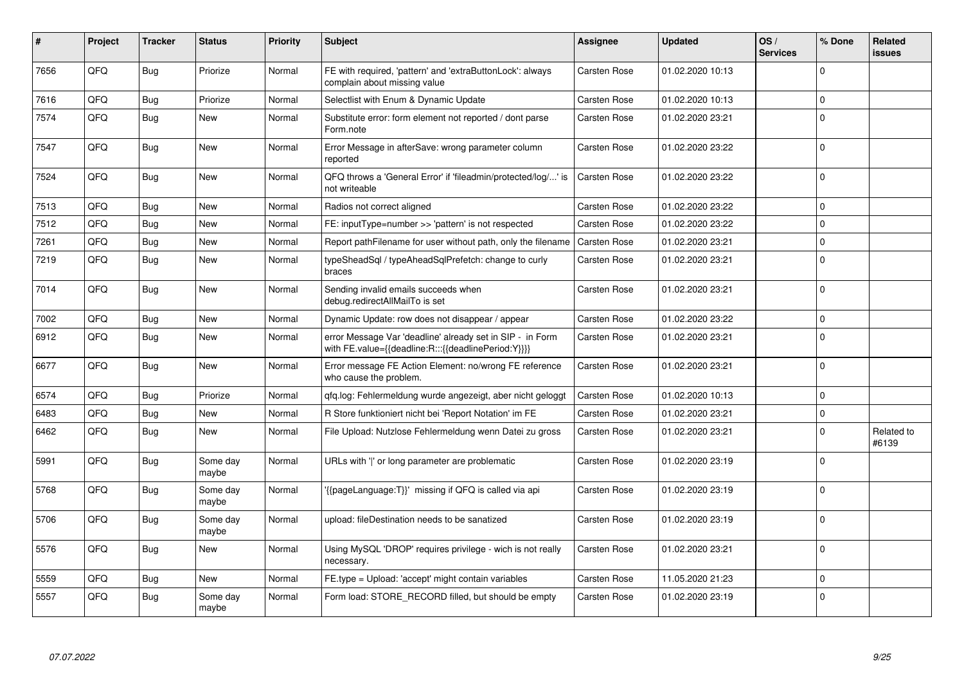| #    | Project | <b>Tracker</b> | <b>Status</b>     | <b>Priority</b> | <b>Subject</b>                                                                                                   | <b>Assignee</b>     | <b>Updated</b>   | OS/<br><b>Services</b> | % Done      | Related<br><b>issues</b> |
|------|---------|----------------|-------------------|-----------------|------------------------------------------------------------------------------------------------------------------|---------------------|------------------|------------------------|-------------|--------------------------|
| 7656 | QFQ     | <b>Bug</b>     | Priorize          | Normal          | FE with required, 'pattern' and 'extraButtonLock': always<br>complain about missing value                        | <b>Carsten Rose</b> | 01.02.2020 10:13 |                        | $\Omega$    |                          |
| 7616 | QFQ     | Bug            | Priorize          | Normal          | Selectlist with Enum & Dynamic Update                                                                            | <b>Carsten Rose</b> | 01.02.2020 10:13 |                        | $\Omega$    |                          |
| 7574 | QFQ     | <b>Bug</b>     | New               | Normal          | Substitute error: form element not reported / dont parse<br>Form.note                                            | <b>Carsten Rose</b> | 01.02.2020 23:21 |                        | $\mathbf 0$ |                          |
| 7547 | QFQ     | Bug            | New               | Normal          | Error Message in afterSave: wrong parameter column<br>reported                                                   | <b>Carsten Rose</b> | 01.02.2020 23:22 |                        | $\mathbf 0$ |                          |
| 7524 | QFQ     | Bug            | <b>New</b>        | Normal          | QFQ throws a 'General Error' if 'fileadmin/protected/log/' is<br>not writeable                                   | <b>Carsten Rose</b> | 01.02.2020 23:22 |                        | $\mathbf 0$ |                          |
| 7513 | QFQ     | Bug            | New               | Normal          | Radios not correct aligned                                                                                       | <b>Carsten Rose</b> | 01.02.2020 23:22 |                        | $\Omega$    |                          |
| 7512 | QFQ     | <b>Bug</b>     | <b>New</b>        | Normal          | FE: inputType=number >> 'pattern' is not respected                                                               | <b>Carsten Rose</b> | 01.02.2020 23:22 |                        | $\Omega$    |                          |
| 7261 | QFQ     | <b>Bug</b>     | <b>New</b>        | Normal          | Report pathFilename for user without path, only the filename                                                     | <b>Carsten Rose</b> | 01.02.2020 23:21 |                        | $\mathbf 0$ |                          |
| 7219 | QFQ     | <b>Bug</b>     | New               | Normal          | typeSheadSql / typeAheadSqlPrefetch: change to curly<br>braces                                                   | <b>Carsten Rose</b> | 01.02.2020 23:21 |                        | $\Omega$    |                          |
| 7014 | QFQ     | <b>Bug</b>     | <b>New</b>        | Normal          | Sending invalid emails succeeds when<br>debug.redirectAllMailTo is set                                           | <b>Carsten Rose</b> | 01.02.2020 23:21 |                        | $\Omega$    |                          |
| 7002 | QFQ     | <b>Bug</b>     | <b>New</b>        | Normal          | Dynamic Update: row does not disappear / appear                                                                  | <b>Carsten Rose</b> | 01.02.2020 23:22 |                        | $\mathbf 0$ |                          |
| 6912 | QFQ     | Bug            | <b>New</b>        | Normal          | error Message Var 'deadline' already set in SIP - in Form<br>with FE.value={{deadline:R:::{{deadlinePeriod:Y}}}} | <b>Carsten Rose</b> | 01.02.2020 23:21 |                        | $\Omega$    |                          |
| 6677 | QFQ     | <b>Bug</b>     | <b>New</b>        | Normal          | Error message FE Action Element: no/wrong FE reference<br>who cause the problem.                                 | <b>Carsten Rose</b> | 01.02.2020 23:21 |                        | $\Omega$    |                          |
| 6574 | QFQ     | Bug            | Priorize          | Normal          | gfg.log: Fehlermeldung wurde angezeigt, aber nicht geloggt                                                       | <b>Carsten Rose</b> | 01.02.2020 10:13 |                        | $\mathbf 0$ |                          |
| 6483 | QFQ     | Bug            | New               | Normal          | R Store funktioniert nicht bei 'Report Notation' im FE                                                           | Carsten Rose        | 01.02.2020 23:21 |                        | $\mathbf 0$ |                          |
| 6462 | QFQ     | <b>Bug</b>     | New               | Normal          | File Upload: Nutzlose Fehlermeldung wenn Datei zu gross                                                          | Carsten Rose        | 01.02.2020 23:21 |                        | $\Omega$    | Related to<br>#6139      |
| 5991 | QFQ     | <b>Bug</b>     | Some day<br>maybe | Normal          | URLs with ' ' or long parameter are problematic                                                                  | <b>Carsten Rose</b> | 01.02.2020 23:19 |                        | $\Omega$    |                          |
| 5768 | QFQ     | <b>Bug</b>     | Some day<br>maybe | Normal          | {{pageLanguage:T}}' missing if QFQ is called via api                                                             | Carsten Rose        | 01.02.2020 23:19 |                        | $\mathbf 0$ |                          |
| 5706 | QFQ     | <b>Bug</b>     | Some day<br>maybe | Normal          | upload: fileDestination needs to be sanatized                                                                    | Carsten Rose        | 01.02.2020 23:19 |                        | $\Omega$    |                          |
| 5576 | QFQ     | <b>Bug</b>     | New               | Normal          | Using MySQL 'DROP' requires privilege - wich is not really<br>necessary.                                         | Carsten Rose        | 01.02.2020 23:21 |                        | $\mathbf 0$ |                          |
| 5559 | QFQ     | Bug            | New               | Normal          | FE.type = Upload: 'accept' might contain variables                                                               | <b>Carsten Rose</b> | 11.05.2020 21:23 |                        | $\mathbf 0$ |                          |
| 5557 | QFQ     | Bug            | Some day<br>maybe | Normal          | Form load: STORE RECORD filled, but should be empty                                                              | <b>Carsten Rose</b> | 01.02.2020 23:19 |                        | $\mathbf 0$ |                          |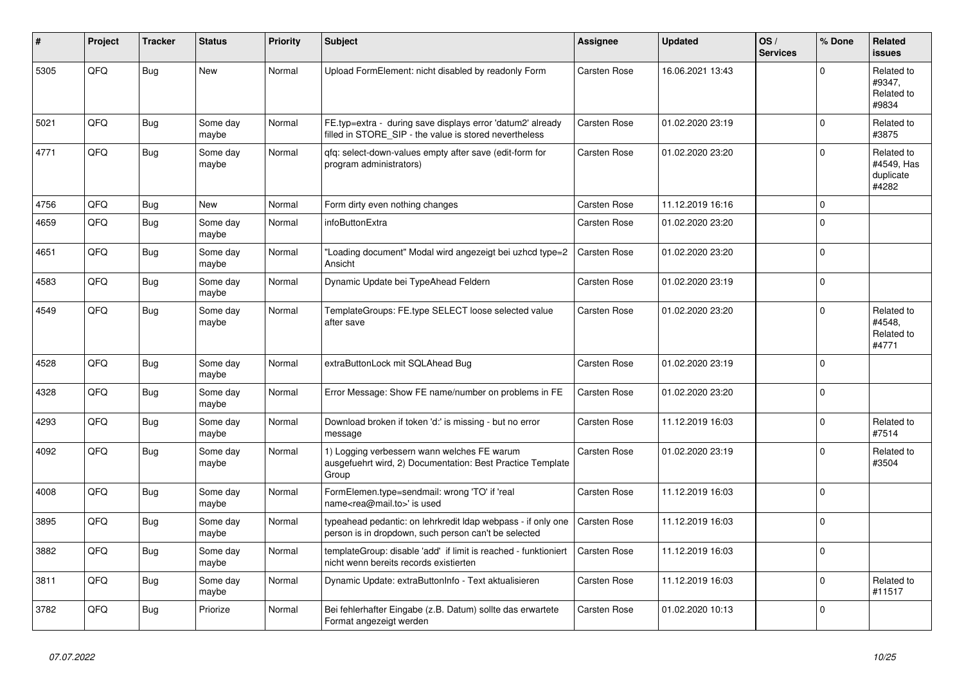| ∦    | Project | <b>Tracker</b> | <b>Status</b>     | <b>Priority</b> | <b>Subject</b>                                                                                                       | <b>Assignee</b>     | <b>Updated</b>   | OS/<br><b>Services</b> | % Done         | Related<br><b>issues</b>                       |
|------|---------|----------------|-------------------|-----------------|----------------------------------------------------------------------------------------------------------------------|---------------------|------------------|------------------------|----------------|------------------------------------------------|
| 5305 | QFQ     | <b>Bug</b>     | <b>New</b>        | Normal          | Upload FormElement: nicht disabled by readonly Form                                                                  | Carsten Rose        | 16.06.2021 13:43 |                        | $\Omega$       | Related to<br>#9347,<br>Related to<br>#9834    |
| 5021 | QFQ     | <b>Bug</b>     | Some day<br>maybe | Normal          | FE.typ=extra - during save displays error 'datum2' already<br>filled in STORE SIP - the value is stored nevertheless | Carsten Rose        | 01.02.2020 23:19 |                        | $\Omega$       | Related to<br>#3875                            |
| 4771 | QFQ     | <b>Bug</b>     | Some day<br>maybe | Normal          | qfq: select-down-values empty after save (edit-form for<br>program administrators)                                   | Carsten Rose        | 01.02.2020 23:20 |                        | $\Omega$       | Related to<br>#4549. Has<br>duplicate<br>#4282 |
| 4756 | QFQ     | Bug            | <b>New</b>        | Normal          | Form dirty even nothing changes                                                                                      | <b>Carsten Rose</b> | 11.12.2019 16:16 |                        | $\mathbf 0$    |                                                |
| 4659 | QFQ     | <b>Bug</b>     | Some day<br>maybe | Normal          | infoButtonExtra                                                                                                      | Carsten Rose        | 01.02.2020 23:20 |                        | $\Omega$       |                                                |
| 4651 | QFQ     | <b>Bug</b>     | Some day<br>maybe | Normal          | 'Loading document" Modal wird angezeigt bei uzhcd type=2<br>Ansicht                                                  | <b>Carsten Rose</b> | 01.02.2020 23:20 |                        | $\overline{0}$ |                                                |
| 4583 | QFQ     | <b>Bug</b>     | Some day<br>maybe | Normal          | Dynamic Update bei TypeAhead Feldern                                                                                 | Carsten Rose        | 01.02.2020 23:19 |                        | $\Omega$       |                                                |
| 4549 | QFQ     | <b>Bug</b>     | Some day<br>maybe | Normal          | TemplateGroups: FE.type SELECT loose selected value<br>after save                                                    | Carsten Rose        | 01.02.2020 23:20 |                        | $\Omega$       | Related to<br>#4548.<br>Related to<br>#4771    |
| 4528 | QFQ     | <b>Bug</b>     | Some day<br>maybe | Normal          | extraButtonLock mit SQLAhead Bug                                                                                     | <b>Carsten Rose</b> | 01.02.2020 23:19 |                        | $\mathbf 0$    |                                                |
| 4328 | QFQ     | <b>Bug</b>     | Some day<br>maybe | Normal          | Error Message: Show FE name/number on problems in FE                                                                 | <b>Carsten Rose</b> | 01.02.2020 23:20 |                        | $\Omega$       |                                                |
| 4293 | QFQ     | <b>Bug</b>     | Some day<br>maybe | Normal          | Download broken if token 'd:' is missing - but no error<br>message                                                   | <b>Carsten Rose</b> | 11.12.2019 16:03 |                        | $\Omega$       | Related to<br>#7514                            |
| 4092 | QFQ     | <b>Bug</b>     | Some day<br>maybe | Normal          | 1) Logging verbessern wann welches FE warum<br>ausgefuehrt wird, 2) Documentation: Best Practice Template<br>Group   | <b>Carsten Rose</b> | 01.02.2020 23:19 |                        | 0              | Related to<br>#3504                            |
| 4008 | QFQ     | Bug            | Some day<br>maybe | Normal          | FormElemen.type=sendmail: wrong 'TO' if 'real<br>name <rea@mail.to>' is used</rea@mail.to>                           | Carsten Rose        | 11.12.2019 16:03 |                        | $\Omega$       |                                                |
| 3895 | QFQ     | <b>Bug</b>     | Some day<br>maybe | Normal          | typeahead pedantic: on lehrkredit Idap webpass - if only one<br>person is in dropdown, such person can't be selected | <b>Carsten Rose</b> | 11.12.2019 16:03 |                        | $\Omega$       |                                                |
| 3882 | QFQ     | <b>Bug</b>     | Some day<br>maybe | Normal          | templateGroup: disable 'add' if limit is reached - funktioniert<br>nicht wenn bereits records existierten            | Carsten Rose        | 11.12.2019 16:03 |                        | 0              |                                                |
| 3811 | QFQ     | <b>Bug</b>     | Some day<br>maybe | Normal          | Dynamic Update: extraButtonInfo - Text aktualisieren                                                                 | Carsten Rose        | 11.12.2019 16:03 |                        | 0              | Related to<br>#11517                           |
| 3782 | QFQ     | Bug            | Priorize          | Normal          | Bei fehlerhafter Eingabe (z.B. Datum) sollte das erwartete<br>Format angezeigt werden                                | Carsten Rose        | 01.02.2020 10:13 |                        | 0              |                                                |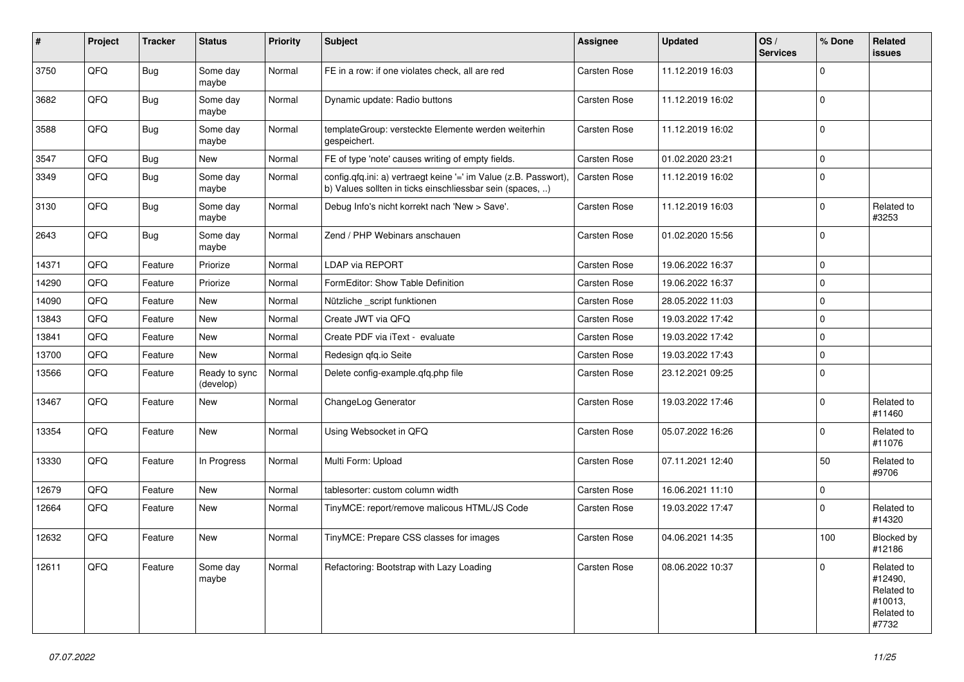| #     | Project | <b>Tracker</b> | <b>Status</b>              | <b>Priority</b> | <b>Subject</b>                                                                                                                | <b>Assignee</b>     | <b>Updated</b>   | OS/<br><b>Services</b> | % Done      | Related<br>issues                                                     |
|-------|---------|----------------|----------------------------|-----------------|-------------------------------------------------------------------------------------------------------------------------------|---------------------|------------------|------------------------|-------------|-----------------------------------------------------------------------|
| 3750  | QFQ     | Bug            | Some day<br>maybe          | Normal          | FE in a row: if one violates check, all are red                                                                               | Carsten Rose        | 11.12.2019 16:03 |                        | $\mathbf 0$ |                                                                       |
| 3682  | QFQ     | <b>Bug</b>     | Some day<br>maybe          | Normal          | Dynamic update: Radio buttons                                                                                                 | Carsten Rose        | 11.12.2019 16:02 |                        | $\Omega$    |                                                                       |
| 3588  | QFQ     | <b>Bug</b>     | Some day<br>maybe          | Normal          | templateGroup: versteckte Elemente werden weiterhin<br>gespeichert.                                                           | Carsten Rose        | 11.12.2019 16:02 |                        | $\Omega$    |                                                                       |
| 3547  | QFQ     | <b>Bug</b>     | <b>New</b>                 | Normal          | FE of type 'note' causes writing of empty fields.                                                                             | Carsten Rose        | 01.02.2020 23:21 |                        | 0           |                                                                       |
| 3349  | QFQ     | <b>Bug</b>     | Some day<br>maybe          | Normal          | config.qfq.ini: a) vertraegt keine '=' im Value (z.B. Passwort),<br>b) Values sollten in ticks einschliessbar sein (spaces, ) | Carsten Rose        | 11.12.2019 16:02 |                        | $\Omega$    |                                                                       |
| 3130  | QFQ     | <b>Bug</b>     | Some day<br>maybe          | Normal          | Debug Info's nicht korrekt nach 'New > Save'.                                                                                 | Carsten Rose        | 11.12.2019 16:03 |                        | 0           | Related to<br>#3253                                                   |
| 2643  | QFQ     | <b>Bug</b>     | Some day<br>maybe          | Normal          | Zend / PHP Webinars anschauen                                                                                                 | Carsten Rose        | 01.02.2020 15:56 |                        | $\mathbf 0$ |                                                                       |
| 14371 | QFQ     | Feature        | Priorize                   | Normal          | LDAP via REPORT                                                                                                               | <b>Carsten Rose</b> | 19.06.2022 16:37 |                        | $\mathbf 0$ |                                                                       |
| 14290 | QFQ     | Feature        | Priorize                   | Normal          | FormEditor: Show Table Definition                                                                                             | Carsten Rose        | 19.06.2022 16:37 |                        | $\Omega$    |                                                                       |
| 14090 | QFQ     | Feature        | New                        | Normal          | Nützliche _script funktionen                                                                                                  | Carsten Rose        | 28.05.2022 11:03 |                        | $\mathbf 0$ |                                                                       |
| 13843 | QFQ     | Feature        | <b>New</b>                 | Normal          | Create JWT via QFQ                                                                                                            | Carsten Rose        | 19.03.2022 17:42 |                        | $\mathbf 0$ |                                                                       |
| 13841 | QFQ     | Feature        | New                        | Normal          | Create PDF via iText - evaluate                                                                                               | Carsten Rose        | 19.03.2022 17:42 |                        | 0           |                                                                       |
| 13700 | QFQ     | Feature        | New                        | Normal          | Redesign qfq.io Seite                                                                                                         | Carsten Rose        | 19.03.2022 17:43 |                        | $\Omega$    |                                                                       |
| 13566 | QFQ     | Feature        | Ready to sync<br>(develop) | Normal          | Delete config-example.gfg.php file                                                                                            | Carsten Rose        | 23.12.2021 09:25 |                        | 0           |                                                                       |
| 13467 | QFQ     | Feature        | New                        | Normal          | ChangeLog Generator                                                                                                           | Carsten Rose        | 19.03.2022 17:46 |                        | $\mathbf 0$ | Related to<br>#11460                                                  |
| 13354 | QFQ     | Feature        | New                        | Normal          | Using Websocket in QFQ                                                                                                        | Carsten Rose        | 05.07.2022 16:26 |                        | $\mathbf 0$ | Related to<br>#11076                                                  |
| 13330 | QFQ     | Feature        | In Progress                | Normal          | Multi Form: Upload                                                                                                            | Carsten Rose        | 07.11.2021 12:40 |                        | 50          | Related to<br>#9706                                                   |
| 12679 | QFQ     | Feature        | New                        | Normal          | tablesorter: custom column width                                                                                              | Carsten Rose        | 16.06.2021 11:10 |                        | $\mathbf 0$ |                                                                       |
| 12664 | QFQ     | Feature        | New                        | Normal          | TinyMCE: report/remove malicous HTML/JS Code                                                                                  | Carsten Rose        | 19.03.2022 17:47 |                        | $\mathbf 0$ | Related to<br>#14320                                                  |
| 12632 | QFQ     | Feature        | <b>New</b>                 | Normal          | TinyMCE: Prepare CSS classes for images                                                                                       | Carsten Rose        | 04.06.2021 14:35 |                        | 100         | Blocked by<br>#12186                                                  |
| 12611 | QFQ     | Feature        | Some day<br>maybe          | Normal          | Refactoring: Bootstrap with Lazy Loading                                                                                      | Carsten Rose        | 08.06.2022 10:37 |                        | 0           | Related to<br>#12490,<br>Related to<br>#10013,<br>Related to<br>#7732 |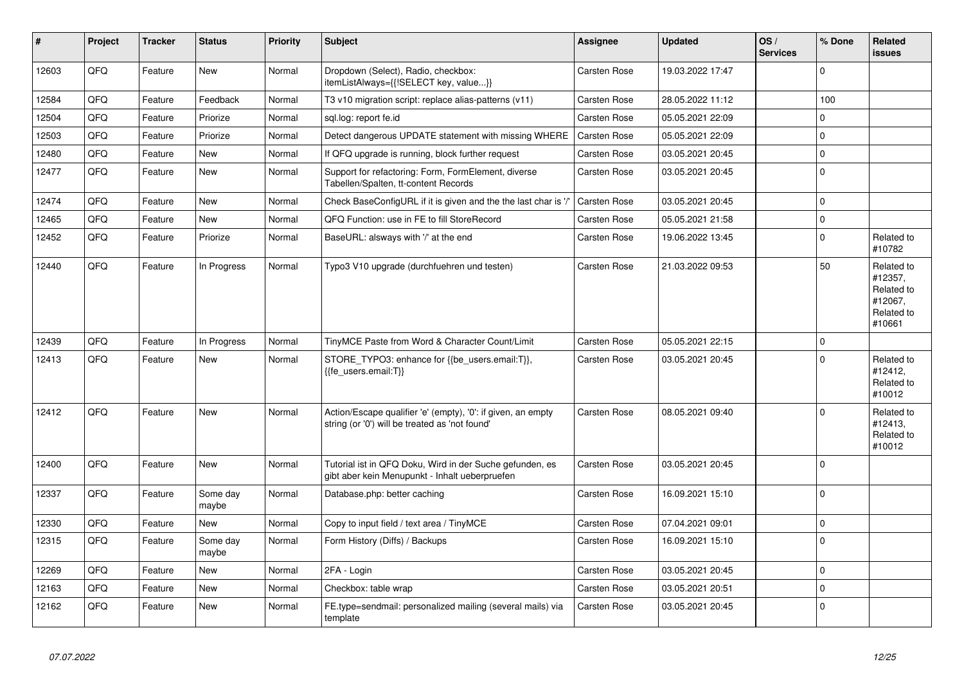| #     | <b>Project</b> | <b>Tracker</b> | <b>Status</b>     | <b>Priority</b> | <b>Subject</b>                                                                                                 | <b>Assignee</b>     | <b>Updated</b>   | OS/<br><b>Services</b> | % Done      | Related<br>issues                                                      |
|-------|----------------|----------------|-------------------|-----------------|----------------------------------------------------------------------------------------------------------------|---------------------|------------------|------------------------|-------------|------------------------------------------------------------------------|
| 12603 | QFQ            | Feature        | <b>New</b>        | Normal          | Dropdown (Select), Radio, checkbox:<br>itemListAlways={{!SELECT key, value}}                                   | Carsten Rose        | 19.03.2022 17:47 |                        | $\Omega$    |                                                                        |
| 12584 | QFQ            | Feature        | Feedback          | Normal          | T3 v10 migration script: replace alias-patterns (v11)                                                          | Carsten Rose        | 28.05.2022 11:12 |                        | 100         |                                                                        |
| 12504 | QFQ            | Feature        | Priorize          | Normal          | sql.log: report fe.id                                                                                          | Carsten Rose        | 05.05.2021 22:09 |                        | $\Omega$    |                                                                        |
| 12503 | QFQ            | Feature        | Priorize          | Normal          | Detect dangerous UPDATE statement with missing WHERE                                                           | <b>Carsten Rose</b> | 05.05.2021 22:09 |                        | $\pmb{0}$   |                                                                        |
| 12480 | QFQ            | Feature        | <b>New</b>        | Normal          | If QFQ upgrade is running, block further request                                                               | <b>Carsten Rose</b> | 03.05.2021 20:45 |                        | $\Omega$    |                                                                        |
| 12477 | QFQ            | Feature        | <b>New</b>        | Normal          | Support for refactoring: Form, FormElement, diverse<br>Tabellen/Spalten, tt-content Records                    | Carsten Rose        | 03.05.2021 20:45 |                        | $\mathbf 0$ |                                                                        |
| 12474 | QFQ            | Feature        | <b>New</b>        | Normal          | Check BaseConfigURL if it is given and the the last char is '/'                                                | Carsten Rose        | 03.05.2021 20:45 |                        | $\Omega$    |                                                                        |
| 12465 | QFQ            | Feature        | <b>New</b>        | Normal          | QFQ Function: use in FE to fill StoreRecord                                                                    | <b>Carsten Rose</b> | 05.05.2021 21:58 |                        | 0           |                                                                        |
| 12452 | QFQ            | Feature        | Priorize          | Normal          | BaseURL: alsways with '/' at the end                                                                           | Carsten Rose        | 19.06.2022 13:45 |                        | $\Omega$    | Related to<br>#10782                                                   |
| 12440 | QFQ            | Feature        | In Progress       | Normal          | Typo3 V10 upgrade (durchfuehren und testen)                                                                    | Carsten Rose        | 21.03.2022 09:53 |                        | 50          | Related to<br>#12357,<br>Related to<br>#12067,<br>Related to<br>#10661 |
| 12439 | QFQ            | Feature        | In Progress       | Normal          | TinyMCE Paste from Word & Character Count/Limit                                                                | Carsten Rose        | 05.05.2021 22:15 |                        | $\Omega$    |                                                                        |
| 12413 | QFQ            | Feature        | New               | Normal          | STORE TYPO3: enhance for {{be users.email:T}},<br>{{fe users.email:T}}                                         | Carsten Rose        | 03.05.2021 20:45 |                        | $\Omega$    | Related to<br>#12412,<br>Related to<br>#10012                          |
| 12412 | QFQ            | Feature        | <b>New</b>        | Normal          | Action/Escape qualifier 'e' (empty), '0': if given, an empty<br>string (or '0') will be treated as 'not found' | <b>Carsten Rose</b> | 08.05.2021 09:40 |                        | $\Omega$    | Related to<br>#12413,<br>Related to<br>#10012                          |
| 12400 | QFQ            | Feature        | <b>New</b>        | Normal          | Tutorial ist in QFQ Doku, Wird in der Suche gefunden, es<br>gibt aber kein Menupunkt - Inhalt ueberpruefen     | Carsten Rose        | 03.05.2021 20:45 |                        | $\Omega$    |                                                                        |
| 12337 | QFQ            | Feature        | Some day<br>maybe | Normal          | Database.php: better caching                                                                                   | Carsten Rose        | 16.09.2021 15:10 |                        | $\Omega$    |                                                                        |
| 12330 | QFQ            | Feature        | <b>New</b>        | Normal          | Copy to input field / text area / TinyMCE                                                                      | <b>Carsten Rose</b> | 07.04.2021 09:01 |                        | $\Omega$    |                                                                        |
| 12315 | QFQ            | Feature        | Some day<br>maybe | Normal          | Form History (Diffs) / Backups                                                                                 | Carsten Rose        | 16.09.2021 15:10 |                        | $\Omega$    |                                                                        |
| 12269 | QFQ            | Feature        | <b>New</b>        | Normal          | 2FA - Login                                                                                                    | <b>Carsten Rose</b> | 03.05.2021 20:45 |                        | 0           |                                                                        |
| 12163 | QFQ            | Feature        | <b>New</b>        | Normal          | Checkbox: table wrap                                                                                           | <b>Carsten Rose</b> | 03.05.2021 20:51 |                        | $\Omega$    |                                                                        |
| 12162 | QFQ            | Feature        | <b>New</b>        | Normal          | FE.type=sendmail: personalized mailing (several mails) via<br>template                                         | Carsten Rose        | 03.05.2021 20:45 |                        | $\Omega$    |                                                                        |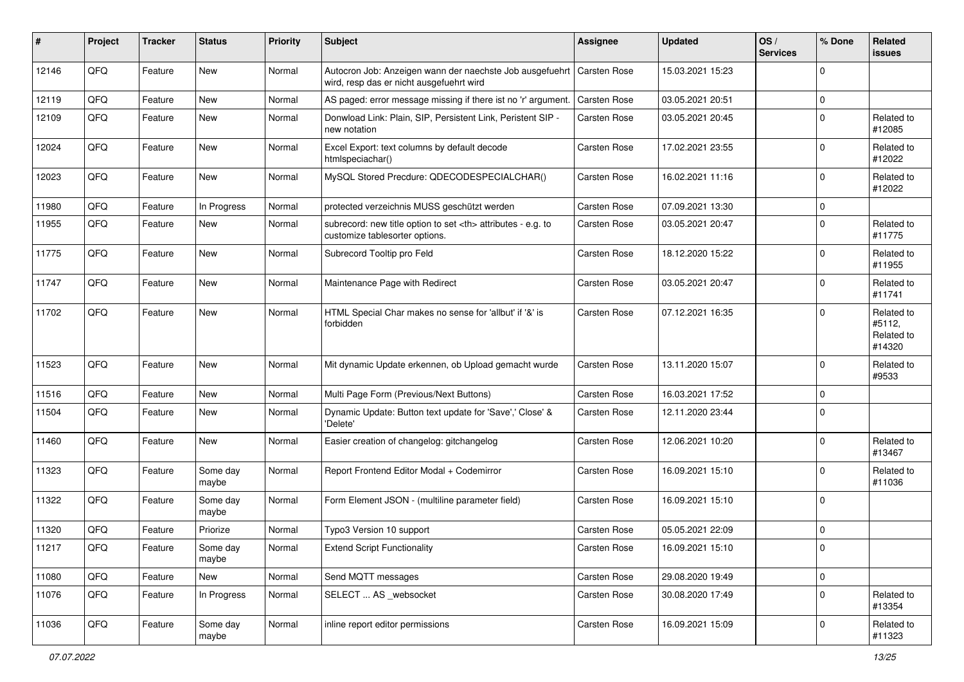| #     | Project | <b>Tracker</b> | <b>Status</b>     | <b>Priority</b> | <b>Subject</b>                                                                                                      | <b>Assignee</b>                                        | <b>Updated</b>   | OS/<br><b>Services</b> | % Done      | <b>Related</b><br>issues                     |                      |
|-------|---------|----------------|-------------------|-----------------|---------------------------------------------------------------------------------------------------------------------|--------------------------------------------------------|------------------|------------------------|-------------|----------------------------------------------|----------------------|
| 12146 | QFQ     | Feature        | <b>New</b>        | Normal          | Autocron Job: Anzeigen wann der naechste Job ausgefuehrt   Carsten Rose<br>wird, resp das er nicht ausgefuehrt wird |                                                        | 15.03.2021 15:23 |                        | $\Omega$    |                                              |                      |
| 12119 | QFQ     | Feature        | <b>New</b>        | Normal          | AS paged: error message missing if there ist no 'r' argument.                                                       | <b>Carsten Rose</b>                                    | 03.05.2021 20:51 |                        | 0           |                                              |                      |
| 12109 | QFQ     | Feature        | <b>New</b>        | Normal          | Donwload Link: Plain, SIP, Persistent Link, Peristent SIP -<br>new notation                                         | <b>Carsten Rose</b>                                    | 03.05.2021 20:45 |                        | $\Omega$    | Related to<br>#12085                         |                      |
| 12024 | QFQ     | Feature        | <b>New</b>        | Normal          | Excel Export: text columns by default decode<br>htmlspeciachar()                                                    | Carsten Rose                                           | 17.02.2021 23:55 |                        | $\Omega$    | Related to<br>#12022                         |                      |
| 12023 | QFQ     | Feature        | <b>New</b>        | Normal          | MySQL Stored Precdure: QDECODESPECIALCHAR()                                                                         | Carsten Rose                                           | 16.02.2021 11:16 |                        | $\mathbf 0$ | Related to<br>#12022                         |                      |
| 11980 | QFQ     | Feature        | In Progress       | Normal          | protected verzeichnis MUSS geschützt werden                                                                         | <b>Carsten Rose</b>                                    | 07.09.2021 13:30 |                        | $\mathbf 0$ |                                              |                      |
| 11955 | QFQ     | Feature        | New               | Normal          | subrecord: new title option to set <th> attributes - e.g. to<br/>customize tablesorter options.</th>                | attributes - e.g. to<br>customize tablesorter options. | Carsten Rose     | 03.05.2021 20:47       |             | 0                                            | Related to<br>#11775 |
| 11775 | QFQ     | Feature        | New               | Normal          | Subrecord Tooltip pro Feld                                                                                          | Carsten Rose                                           | 18.12.2020 15:22 |                        | $\mathbf 0$ | Related to<br>#11955                         |                      |
| 11747 | QFQ     | Feature        | <b>New</b>        | Normal          | Maintenance Page with Redirect                                                                                      | Carsten Rose                                           | 03.05.2021 20:47 |                        | $\Omega$    | Related to<br>#11741                         |                      |
| 11702 | QFQ     | Feature        | <b>New</b>        | Normal          | HTML Special Char makes no sense for 'allbut' if '&' is<br>forbidden                                                | <b>Carsten Rose</b>                                    | 07.12.2021 16:35 |                        | $\Omega$    | Related to<br>#5112,<br>Related to<br>#14320 |                      |
| 11523 | QFQ     | Feature        | New               | Normal          | Mit dynamic Update erkennen, ob Upload gemacht wurde                                                                | Carsten Rose                                           | 13.11.2020 15:07 |                        | $\mathbf 0$ | Related to<br>#9533                          |                      |
| 11516 | QFQ     | Feature        | New               | Normal          | Multi Page Form (Previous/Next Buttons)                                                                             | <b>Carsten Rose</b>                                    | 16.03.2021 17:52 |                        | 0           |                                              |                      |
| 11504 | QFQ     | Feature        | New               | Normal          | Dynamic Update: Button text update for 'Save',' Close' &<br>'Delete'                                                | Carsten Rose                                           | 12.11.2020 23:44 |                        | $\Omega$    |                                              |                      |
| 11460 | QFQ     | Feature        | <b>New</b>        | Normal          | Easier creation of changelog: gitchangelog                                                                          | <b>Carsten Rose</b>                                    | 12.06.2021 10:20 |                        | $\mathbf 0$ | Related to<br>#13467                         |                      |
| 11323 | QFQ     | Feature        | Some day<br>maybe | Normal          | Report Frontend Editor Modal + Codemirror                                                                           | <b>Carsten Rose</b>                                    | 16.09.2021 15:10 |                        | $\mathbf 0$ | Related to<br>#11036                         |                      |
| 11322 | QFQ     | Feature        | Some day<br>maybe | Normal          | Form Element JSON - (multiline parameter field)                                                                     | Carsten Rose                                           | 16.09.2021 15:10 |                        | $\mathbf 0$ |                                              |                      |
| 11320 | QFQ     | Feature        | Priorize          | Normal          | Typo3 Version 10 support                                                                                            | <b>Carsten Rose</b>                                    | 05.05.2021 22:09 |                        | $\mathbf 0$ |                                              |                      |
| 11217 | QFQ     | Feature        | Some day<br>maybe | Normal          | <b>Extend Script Functionality</b>                                                                                  | Carsten Rose                                           | 16.09.2021 15:10 |                        | O           |                                              |                      |
| 11080 | QFQ     | Feature        | New               | Normal          | Send MQTT messages                                                                                                  | Carsten Rose                                           | 29.08.2020 19:49 |                        | 0           |                                              |                      |
| 11076 | QFQ     | Feature        | In Progress       | Normal          | SELECT  AS websocket                                                                                                | Carsten Rose                                           | 30.08.2020 17:49 |                        | 0           | Related to<br>#13354                         |                      |
| 11036 | QFQ     | Feature        | Some day<br>maybe | Normal          | inline report editor permissions                                                                                    | Carsten Rose                                           | 16.09.2021 15:09 |                        | 0           | Related to<br>#11323                         |                      |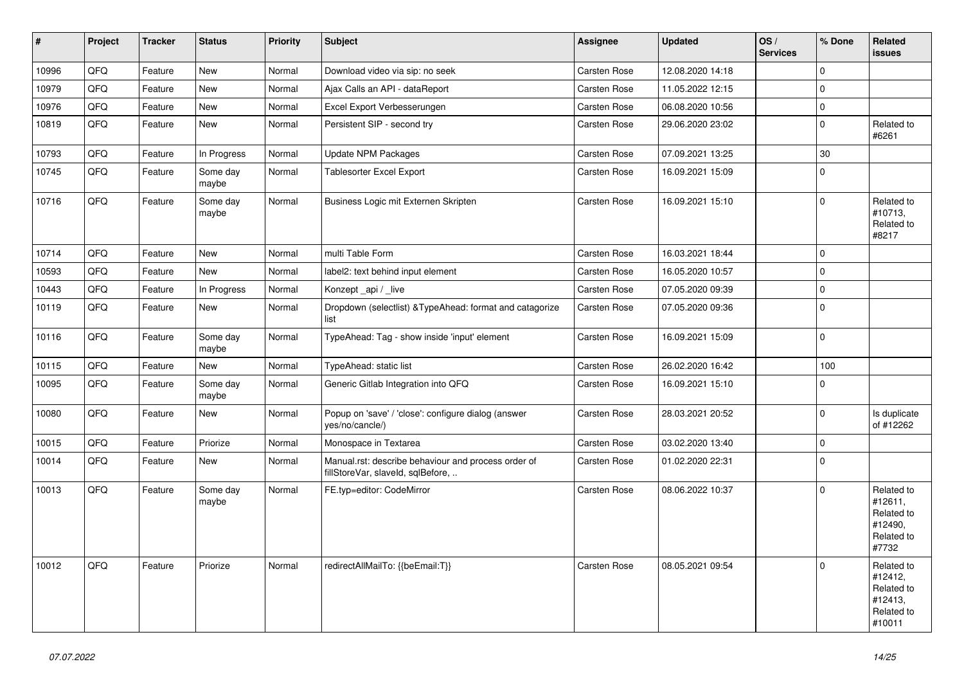| $\vert$ # | Project | <b>Tracker</b> | <b>Status</b>     | <b>Priority</b> | <b>Subject</b>                                                                           | Assignee            | <b>Updated</b>   | OS/<br><b>Services</b> | % Done      | Related<br>issues                                                      |
|-----------|---------|----------------|-------------------|-----------------|------------------------------------------------------------------------------------------|---------------------|------------------|------------------------|-------------|------------------------------------------------------------------------|
| 10996     | QFQ     | Feature        | <b>New</b>        | Normal          | Download video via sip: no seek                                                          | Carsten Rose        | 12.08.2020 14:18 |                        | $\mathbf 0$ |                                                                        |
| 10979     | QFQ     | Feature        | <b>New</b>        | Normal          | Ajax Calls an API - dataReport                                                           | Carsten Rose        | 11.05.2022 12:15 |                        | $\Omega$    |                                                                        |
| 10976     | QFQ     | Feature        | <b>New</b>        | Normal          | Excel Export Verbesserungen                                                              | Carsten Rose        | 06.08.2020 10:56 |                        | $\pmb{0}$   |                                                                        |
| 10819     | QFQ     | Feature        | <b>New</b>        | Normal          | Persistent SIP - second try                                                              | Carsten Rose        | 29.06.2020 23:02 |                        | $\mathbf 0$ | Related to<br>#6261                                                    |
| 10793     | QFQ     | Feature        | In Progress       | Normal          | <b>Update NPM Packages</b>                                                               | Carsten Rose        | 07.09.2021 13:25 |                        | 30          |                                                                        |
| 10745     | QFQ     | Feature        | Some day<br>maybe | Normal          | Tablesorter Excel Export                                                                 | Carsten Rose        | 16.09.2021 15:09 |                        | 0           |                                                                        |
| 10716     | QFQ     | Feature        | Some day<br>maybe | Normal          | Business Logic mit Externen Skripten                                                     | <b>Carsten Rose</b> | 16.09.2021 15:10 |                        | $\Omega$    | Related to<br>#10713,<br>Related to<br>#8217                           |
| 10714     | QFQ     | Feature        | <b>New</b>        | Normal          | multi Table Form                                                                         | <b>Carsten Rose</b> | 16.03.2021 18:44 |                        | $\Omega$    |                                                                        |
| 10593     | QFQ     | Feature        | <b>New</b>        | Normal          | label2: text behind input element                                                        | Carsten Rose        | 16.05.2020 10:57 |                        | 0           |                                                                        |
| 10443     | QFQ     | Feature        | In Progress       | Normal          | Konzept api / live                                                                       | Carsten Rose        | 07.05.2020 09:39 |                        | $\mathbf 0$ |                                                                        |
| 10119     | QFQ     | Feature        | <b>New</b>        | Normal          | Dropdown (selectlist) & Type Ahead: format and catagorize<br>list                        | <b>Carsten Rose</b> | 07.05.2020 09:36 |                        | 0           |                                                                        |
| 10116     | QFQ     | Feature        | Some day<br>maybe | Normal          | TypeAhead: Tag - show inside 'input' element                                             | Carsten Rose        | 16.09.2021 15:09 |                        | $\mathbf 0$ |                                                                        |
| 10115     | QFQ     | Feature        | <b>New</b>        | Normal          | TypeAhead: static list                                                                   | <b>Carsten Rose</b> | 26.02.2020 16:42 |                        | 100         |                                                                        |
| 10095     | QFQ     | Feature        | Some day<br>maybe | Normal          | Generic Gitlab Integration into QFQ                                                      | Carsten Rose        | 16.09.2021 15:10 |                        | $\Omega$    |                                                                        |
| 10080     | QFQ     | Feature        | <b>New</b>        | Normal          | Popup on 'save' / 'close': configure dialog (answer<br>yes/no/cancle/)                   | Carsten Rose        | 28.03.2021 20:52 |                        | $\Omega$    | Is duplicate<br>of #12262                                              |
| 10015     | QFQ     | Feature        | Priorize          | Normal          | Monospace in Textarea                                                                    | Carsten Rose        | 03.02.2020 13:40 |                        | $\pmb{0}$   |                                                                        |
| 10014     | QFQ     | Feature        | New               | Normal          | Manual.rst: describe behaviour and process order of<br>fillStoreVar, slaveId, sqlBefore, | Carsten Rose        | 01.02.2020 22:31 |                        | $\Omega$    |                                                                        |
| 10013     | QFG     | Feature        | Some day<br>maybe | Normal          | FE.typ=editor: CodeMirror                                                                | <b>Carsten Rose</b> | 08.06.2022 10:37 |                        | $\Omega$    | Related to<br>#12611,<br>Related to<br>#12490,<br>Related to<br>#7732  |
| 10012     | QFQ     | Feature        | Priorize          | Normal          | redirectAllMailTo: {{beEmail:T}}                                                         | <b>Carsten Rose</b> | 08.05.2021 09:54 |                        | $\Omega$    | Related to<br>#12412,<br>Related to<br>#12413,<br>Related to<br>#10011 |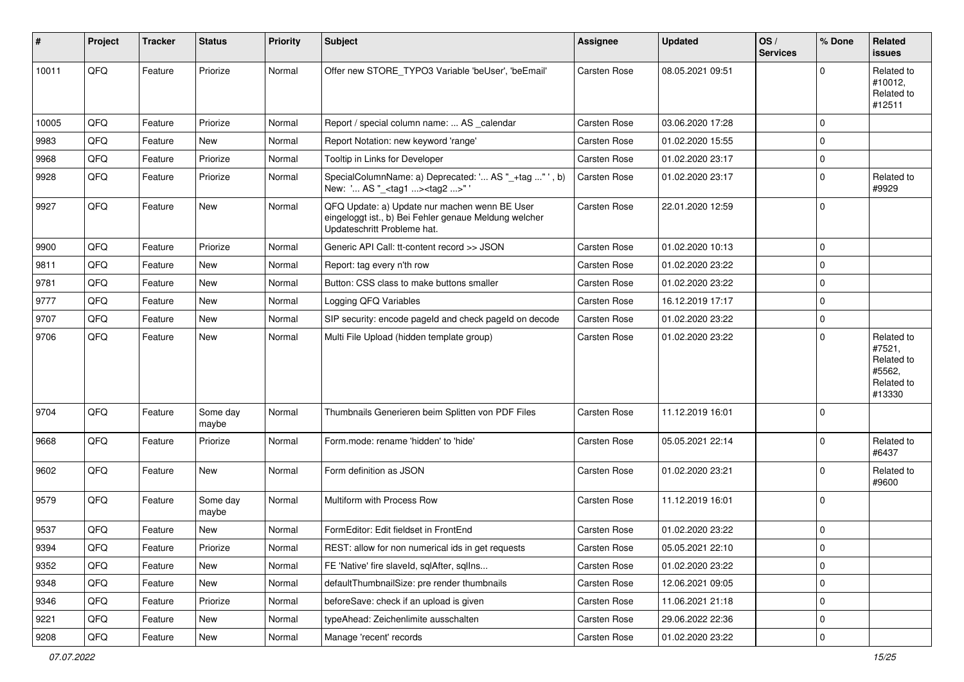| #     | Project | <b>Tracker</b> | <b>Status</b>     | <b>Priority</b> | <b>Subject</b>                                                                                                                        | <b>Assignee</b>     | <b>Updated</b>   | OS/<br><b>Services</b> | % Done      | Related<br>issues                                                    |
|-------|---------|----------------|-------------------|-----------------|---------------------------------------------------------------------------------------------------------------------------------------|---------------------|------------------|------------------------|-------------|----------------------------------------------------------------------|
| 10011 | QFQ     | Feature        | Priorize          | Normal          | Offer new STORE TYPO3 Variable 'beUser', 'beEmail'                                                                                    | <b>Carsten Rose</b> | 08.05.2021 09:51 |                        | $\Omega$    | Related to<br>#10012,<br>Related to<br>#12511                        |
| 10005 | QFQ     | Feature        | Priorize          | Normal          | Report / special column name:  AS calendar                                                                                            | Carsten Rose        | 03.06.2020 17:28 |                        | $\mathbf 0$ |                                                                      |
| 9983  | QFQ     | Feature        | New               | Normal          | Report Notation: new keyword 'range'                                                                                                  | Carsten Rose        | 01.02.2020 15:55 |                        | $\Omega$    |                                                                      |
| 9968  | QFQ     | Feature        | Priorize          | Normal          | Tooltip in Links for Developer                                                                                                        | Carsten Rose        | 01.02.2020 23:17 |                        | $\mathbf 0$ |                                                                      |
| 9928  | QFQ     | Feature        | Priorize          | Normal          | SpecialColumnName: a) Deprecated: ' AS "_+tag " ', b)<br>New: ' AS "_ <tag1><tag2>"</tag2></tag1>                                     | Carsten Rose        | 01.02.2020 23:17 |                        | $\Omega$    | Related to<br>#9929                                                  |
| 9927  | QFQ     | Feature        | <b>New</b>        | Normal          | QFQ Update: a) Update nur machen wenn BE User<br>eingeloggt ist., b) Bei Fehler genaue Meldung welcher<br>Updateschritt Probleme hat. | Carsten Rose        | 22.01.2020 12:59 |                        | $\mathbf 0$ |                                                                      |
| 9900  | QFQ     | Feature        | Priorize          | Normal          | Generic API Call: tt-content record >> JSON                                                                                           | Carsten Rose        | 01.02.2020 10:13 |                        | $\mathbf 0$ |                                                                      |
| 9811  | QFQ     | Feature        | New               | Normal          | Report: tag every n'th row                                                                                                            | Carsten Rose        | 01.02.2020 23:22 |                        | $\Omega$    |                                                                      |
| 9781  | QFQ     | Feature        | <b>New</b>        | Normal          | Button: CSS class to make buttons smaller                                                                                             | Carsten Rose        | 01.02.2020 23:22 |                        | $\mathbf 0$ |                                                                      |
| 9777  | QFQ     | Feature        | New               | Normal          | Logging QFQ Variables                                                                                                                 | Carsten Rose        | 16.12.2019 17:17 |                        | $\mathbf 0$ |                                                                      |
| 9707  | QFQ     | Feature        | New               | Normal          | SIP security: encode pageld and check pageld on decode                                                                                | Carsten Rose        | 01.02.2020 23:22 |                        | $\mathbf 0$ |                                                                      |
| 9706  | QFQ     | Feature        | New               | Normal          | Multi File Upload (hidden template group)                                                                                             | Carsten Rose        | 01.02.2020 23:22 |                        | $\Omega$    | Related to<br>#7521,<br>Related to<br>#5562,<br>Related to<br>#13330 |
| 9704  | QFQ     | Feature        | Some day<br>maybe | Normal          | Thumbnails Generieren beim Splitten von PDF Files                                                                                     | Carsten Rose        | 11.12.2019 16:01 |                        | $\Omega$    |                                                                      |
| 9668  | QFQ     | Feature        | Priorize          | Normal          | Form.mode: rename 'hidden' to 'hide'                                                                                                  | Carsten Rose        | 05.05.2021 22:14 |                        | $\Omega$    | Related to<br>#6437                                                  |
| 9602  | QFQ     | Feature        | New               | Normal          | Form definition as JSON                                                                                                               | Carsten Rose        | 01.02.2020 23:21 |                        | $\Omega$    | Related to<br>#9600                                                  |
| 9579  | QFQ     | Feature        | Some day<br>maybe | Normal          | Multiform with Process Row                                                                                                            | Carsten Rose        | 11.12.2019 16:01 |                        | $\Omega$    |                                                                      |
| 9537  | QFQ     | Feature        | <b>New</b>        | Normal          | FormEditor: Edit fieldset in FrontEnd                                                                                                 | Carsten Rose        | 01.02.2020 23:22 |                        | $\mathbf 0$ |                                                                      |
| 9394  | QFQ     | Feature        | Priorize          | Normal          | REST: allow for non numerical ids in get requests                                                                                     | Carsten Rose        | 05.05.2021 22:10 |                        | O           |                                                                      |
| 9352  | QFQ     | Feature        | New               | Normal          | FE 'Native' fire slaveld, sqlAfter, sqlIns                                                                                            | Carsten Rose        | 01.02.2020 23:22 |                        | 0           |                                                                      |
| 9348  | QFQ     | Feature        | New               | Normal          | defaultThumbnailSize: pre render thumbnails                                                                                           | Carsten Rose        | 12.06.2021 09:05 |                        | 0           |                                                                      |
| 9346  | QFQ     | Feature        | Priorize          | Normal          | beforeSave: check if an upload is given                                                                                               | Carsten Rose        | 11.06.2021 21:18 |                        | 0           |                                                                      |
| 9221  | QFQ     | Feature        | New               | Normal          | typeAhead: Zeichenlimite ausschalten                                                                                                  | Carsten Rose        | 29.06.2022 22:36 |                        | 0           |                                                                      |
| 9208  | QFQ     | Feature        | New               | Normal          | Manage 'recent' records                                                                                                               | Carsten Rose        | 01.02.2020 23:22 |                        | $\pmb{0}$   |                                                                      |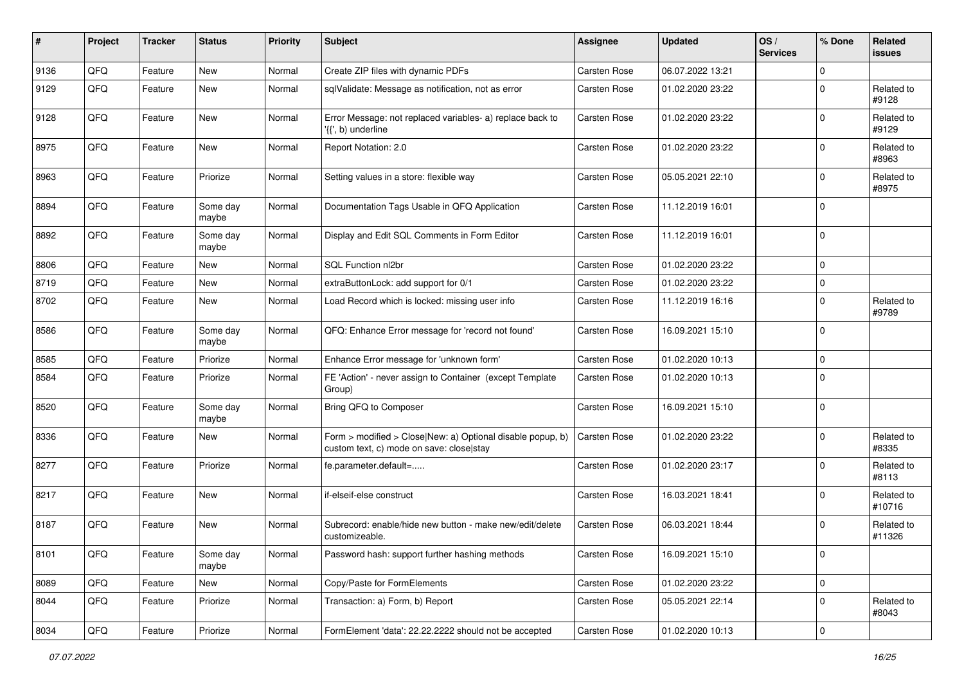| $\sharp$ | Project | <b>Tracker</b> | <b>Status</b>     | <b>Priority</b> | <b>Subject</b>                                                                                         | <b>Assignee</b>     | <b>Updated</b>   | OS/<br><b>Services</b> | % Done      | Related<br>issues    |
|----------|---------|----------------|-------------------|-----------------|--------------------------------------------------------------------------------------------------------|---------------------|------------------|------------------------|-------------|----------------------|
| 9136     | QFQ     | Feature        | <b>New</b>        | Normal          | Create ZIP files with dynamic PDFs                                                                     | <b>Carsten Rose</b> | 06.07.2022 13:21 |                        | $\Omega$    |                      |
| 9129     | QFQ     | Feature        | New               | Normal          | sqlValidate: Message as notification, not as error                                                     | Carsten Rose        | 01.02.2020 23:22 |                        | $\mathbf 0$ | Related to<br>#9128  |
| 9128     | QFQ     | Feature        | <b>New</b>        | Normal          | Error Message: not replaced variables- a) replace back to<br>'{{', b) underline                        | Carsten Rose        | 01.02.2020 23:22 |                        | $\mathbf 0$ | Related to<br>#9129  |
| 8975     | QFQ     | Feature        | <b>New</b>        | Normal          | Report Notation: 2.0                                                                                   | Carsten Rose        | 01.02.2020 23:22 |                        | $\Omega$    | Related to<br>#8963  |
| 8963     | QFQ     | Feature        | Priorize          | Normal          | Setting values in a store: flexible way                                                                | <b>Carsten Rose</b> | 05.05.2021 22:10 |                        | $\mathbf 0$ | Related to<br>#8975  |
| 8894     | QFQ     | Feature        | Some day<br>maybe | Normal          | Documentation Tags Usable in QFQ Application                                                           | Carsten Rose        | 11.12.2019 16:01 |                        | $\mathbf 0$ |                      |
| 8892     | QFQ     | Feature        | Some day<br>maybe | Normal          | Display and Edit SQL Comments in Form Editor                                                           | Carsten Rose        | 11.12.2019 16:01 |                        | $\Omega$    |                      |
| 8806     | QFQ     | Feature        | New               | Normal          | SQL Function nl2br                                                                                     | Carsten Rose        | 01.02.2020 23:22 |                        | $\mathbf 0$ |                      |
| 8719     | QFQ     | Feature        | <b>New</b>        | Normal          | extraButtonLock: add support for 0/1                                                                   | Carsten Rose        | 01.02.2020 23:22 |                        | $\Omega$    |                      |
| 8702     | QFQ     | Feature        | New               | Normal          | Load Record which is locked: missing user info                                                         | Carsten Rose        | 11.12.2019 16:16 |                        | $\mathbf 0$ | Related to<br>#9789  |
| 8586     | QFQ     | Feature        | Some day<br>maybe | Normal          | QFQ: Enhance Error message for 'record not found'                                                      | Carsten Rose        | 16.09.2021 15:10 |                        | $\mathbf 0$ |                      |
| 8585     | QFQ     | Feature        | Priorize          | Normal          | Enhance Error message for 'unknown form'                                                               | Carsten Rose        | 01.02.2020 10:13 |                        | $\mathbf 0$ |                      |
| 8584     | QFQ     | Feature        | Priorize          | Normal          | FE 'Action' - never assign to Container (except Template<br>Group)                                     | Carsten Rose        | 01.02.2020 10:13 |                        | $\Omega$    |                      |
| 8520     | QFQ     | Feature        | Some day<br>maybe | Normal          | Bring QFQ to Composer                                                                                  | Carsten Rose        | 16.09.2021 15:10 |                        | $\Omega$    |                      |
| 8336     | QFQ     | Feature        | New               | Normal          | Form > modified > Close New: a) Optional disable popup, b)<br>custom text, c) mode on save: close stay | Carsten Rose        | 01.02.2020 23:22 |                        | $\Omega$    | Related to<br>#8335  |
| 8277     | QFQ     | Feature        | Priorize          | Normal          | fe.parameter.default=                                                                                  | Carsten Rose        | 01.02.2020 23:17 |                        | $\mathbf 0$ | Related to<br>#8113  |
| 8217     | QFQ     | Feature        | <b>New</b>        | Normal          | if-elseif-else construct                                                                               | Carsten Rose        | 16.03.2021 18:41 |                        | $\mathbf 0$ | Related to<br>#10716 |
| 8187     | QFQ     | Feature        | New               | Normal          | Subrecord: enable/hide new button - make new/edit/delete<br>customizeable.                             | <b>Carsten Rose</b> | 06.03.2021 18:44 |                        | $\Omega$    | Related to<br>#11326 |
| 8101     | QFQ     | Feature        | Some day<br>maybe | Normal          | Password hash: support further hashing methods                                                         | Carsten Rose        | 16.09.2021 15:10 |                        | $\pmb{0}$   |                      |
| 8089     | QFQ     | Feature        | New               | Normal          | Copy/Paste for FormElements                                                                            | Carsten Rose        | 01.02.2020 23:22 |                        | 0           |                      |
| 8044     | QFQ     | Feature        | Priorize          | Normal          | Transaction: a) Form, b) Report                                                                        | Carsten Rose        | 05.05.2021 22:14 |                        | 0           | Related to<br>#8043  |
| 8034     | QFQ     | Feature        | Priorize          | Normal          | FormElement 'data': 22.22.2222 should not be accepted                                                  | Carsten Rose        | 01.02.2020 10:13 |                        | $\pmb{0}$   |                      |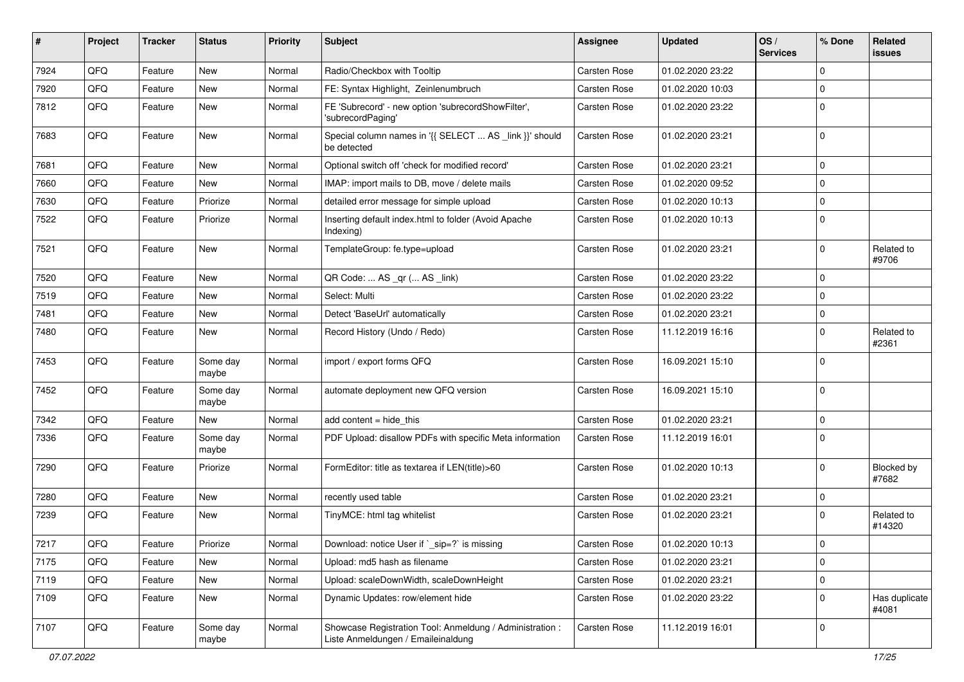| ∦    | Project        | <b>Tracker</b> | <b>Status</b>     | <b>Priority</b> | <b>Subject</b>                                                                                 | <b>Assignee</b> | <b>Updated</b>   | OS/<br><b>Services</b> | % Done      | Related<br><b>issues</b> |
|------|----------------|----------------|-------------------|-----------------|------------------------------------------------------------------------------------------------|-----------------|------------------|------------------------|-------------|--------------------------|
| 7924 | QFQ            | Feature        | <b>New</b>        | Normal          | Radio/Checkbox with Tooltip                                                                    | Carsten Rose    | 01.02.2020 23:22 |                        | $\Omega$    |                          |
| 7920 | QFQ            | Feature        | New               | Normal          | FE: Syntax Highlight, Zeinlenumbruch                                                           | Carsten Rose    | 01.02.2020 10:03 |                        | $\mathbf 0$ |                          |
| 7812 | QFQ            | Feature        | New               | Normal          | FE 'Subrecord' - new option 'subrecordShowFilter',<br>'subrecordPaging'                        | Carsten Rose    | 01.02.2020 23:22 |                        | $\Omega$    |                          |
| 7683 | QFQ            | Feature        | New               | Normal          | Special column names in '{{ SELECT  AS _link }}' should<br>be detected                         | Carsten Rose    | 01.02.2020 23:21 |                        | $\Omega$    |                          |
| 7681 | QFQ            | Feature        | <b>New</b>        | Normal          | Optional switch off 'check for modified record'                                                | Carsten Rose    | 01.02.2020 23:21 |                        | $\mathbf 0$ |                          |
| 7660 | QFQ            | Feature        | New               | Normal          | IMAP: import mails to DB, move / delete mails                                                  | Carsten Rose    | 01.02.2020 09:52 |                        | $\Omega$    |                          |
| 7630 | QFQ            | Feature        | Priorize          | Normal          | detailed error message for simple upload                                                       | Carsten Rose    | 01.02.2020 10:13 |                        | $\mathbf 0$ |                          |
| 7522 | QFQ            | Feature        | Priorize          | Normal          | Inserting default index.html to folder (Avoid Apache<br>Indexing)                              | Carsten Rose    | 01.02.2020 10:13 |                        | $\Omega$    |                          |
| 7521 | QFQ            | Feature        | New               | Normal          | TemplateGroup: fe.type=upload                                                                  | Carsten Rose    | 01.02.2020 23:21 |                        | $\Omega$    | Related to<br>#9706      |
| 7520 | QFQ            | Feature        | New               | Normal          | QR Code:  AS _qr ( AS _link)                                                                   | Carsten Rose    | 01.02.2020 23:22 |                        | $\mathbf 0$ |                          |
| 7519 | QFQ            | Feature        | New               | Normal          | Select: Multi                                                                                  | Carsten Rose    | 01.02.2020 23:22 |                        | $\mathbf 0$ |                          |
| 7481 | QFQ            | Feature        | New               | Normal          | Detect 'BaseUrl' automatically                                                                 | Carsten Rose    | 01.02.2020 23:21 |                        | $\mathbf 0$ |                          |
| 7480 | QFQ            | Feature        | <b>New</b>        | Normal          | Record History (Undo / Redo)                                                                   | Carsten Rose    | 11.12.2019 16:16 |                        | $\mathbf 0$ | Related to<br>#2361      |
| 7453 | QFQ            | Feature        | Some day<br>maybe | Normal          | import / export forms QFQ                                                                      | Carsten Rose    | 16.09.2021 15:10 |                        | $\Omega$    |                          |
| 7452 | QFQ            | Feature        | Some day<br>maybe | Normal          | automate deployment new QFQ version                                                            | Carsten Rose    | 16.09.2021 15:10 |                        | $\Omega$    |                          |
| 7342 | QFQ            | Feature        | <b>New</b>        | Normal          | add content $=$ hide this                                                                      | Carsten Rose    | 01.02.2020 23:21 |                        | $\mathbf 0$ |                          |
| 7336 | QFQ            | Feature        | Some day<br>maybe | Normal          | PDF Upload: disallow PDFs with specific Meta information                                       | Carsten Rose    | 11.12.2019 16:01 |                        | $\Omega$    |                          |
| 7290 | QFQ            | Feature        | Priorize          | Normal          | FormEditor: title as textarea if LEN(title)>60                                                 | Carsten Rose    | 01.02.2020 10:13 |                        | $\mathbf 0$ | Blocked by<br>#7682      |
| 7280 | QFQ            | Feature        | <b>New</b>        | Normal          | recently used table                                                                            | Carsten Rose    | 01.02.2020 23:21 |                        | $\mathbf 0$ |                          |
| 7239 | QFQ            | Feature        | New               | Normal          | TinyMCE: html tag whitelist                                                                    | Carsten Rose    | 01.02.2020 23:21 |                        | $\Omega$    | Related to<br>#14320     |
| 7217 | $\mathsf{QFQ}$ | Feature        | Priorize          | Normal          | Download: notice User if `_sip=?` is missing                                                   | Carsten Rose    | 01.02.2020 10:13 |                        | 0           |                          |
| 7175 | QFQ            | Feature        | New               | Normal          | Upload: md5 hash as filename                                                                   | Carsten Rose    | 01.02.2020 23:21 |                        | $\pmb{0}$   |                          |
| 7119 | QFQ            | Feature        | New               | Normal          | Upload: scaleDownWidth, scaleDownHeight                                                        | Carsten Rose    | 01.02.2020 23:21 |                        | $\pmb{0}$   |                          |
| 7109 | QFQ            | Feature        | New               | Normal          | Dynamic Updates: row/element hide                                                              | Carsten Rose    | 01.02.2020 23:22 |                        | $\mathbf 0$ | Has duplicate<br>#4081   |
| 7107 | QFQ            | Feature        | Some day<br>maybe | Normal          | Showcase Registration Tool: Anmeldung / Administration :<br>Liste Anmeldungen / Emaileinaldung | Carsten Rose    | 11.12.2019 16:01 |                        | 0           |                          |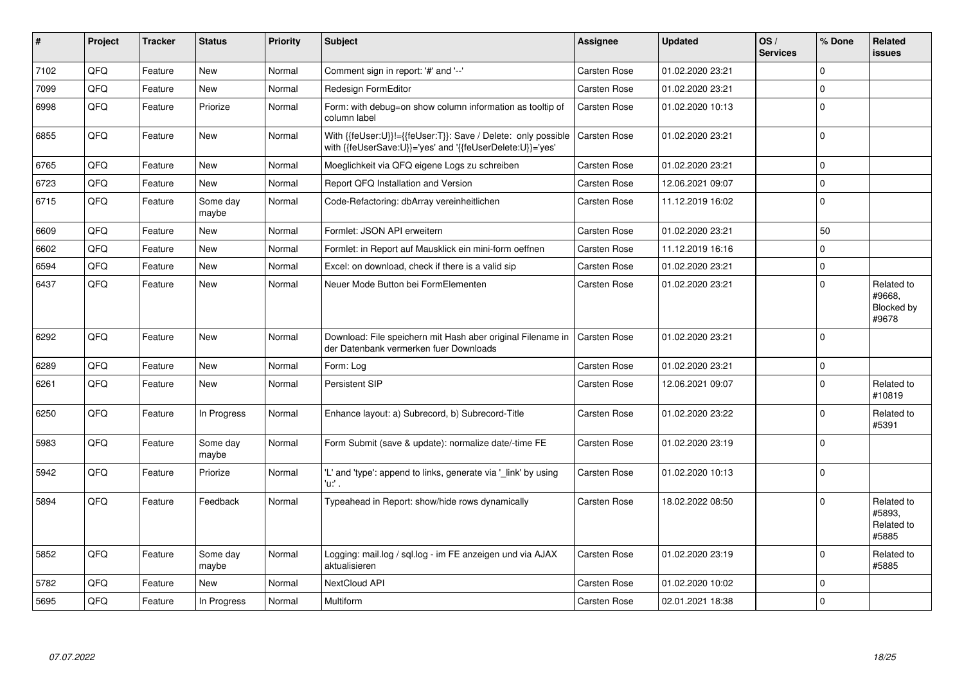| #    | Project | <b>Tracker</b> | <b>Status</b>     | Priority | Subject                                                                                                                    | Assignee            | <b>Updated</b>   | OS/<br><b>Services</b> | % Done      | <b>Related</b><br><b>issues</b>             |
|------|---------|----------------|-------------------|----------|----------------------------------------------------------------------------------------------------------------------------|---------------------|------------------|------------------------|-------------|---------------------------------------------|
| 7102 | QFQ     | Feature        | <b>New</b>        | Normal   | Comment sign in report: '#' and '--'                                                                                       | Carsten Rose        | 01.02.2020 23:21 |                        | $\Omega$    |                                             |
| 7099 | QFQ     | Feature        | <b>New</b>        | Normal   | <b>Redesign FormEditor</b>                                                                                                 | <b>Carsten Rose</b> | 01.02.2020 23:21 |                        | $\mathbf 0$ |                                             |
| 6998 | QFQ     | Feature        | Priorize          | Normal   | Form: with debug=on show column information as tooltip of<br>column label                                                  | Carsten Rose        | 01.02.2020 10:13 |                        | $\mathbf 0$ |                                             |
| 6855 | QFQ     | Feature        | <b>New</b>        | Normal   | With {{feUser:U}}!={{feUser:T}}: Save / Delete: only possible<br>with {{feUserSave:U}}='yes' and '{{feUserDelete:U}}='yes' | Carsten Rose        | 01.02.2020 23:21 |                        | $\pmb{0}$   |                                             |
| 6765 | QFQ     | Feature        | <b>New</b>        | Normal   | Moeglichkeit via QFQ eigene Logs zu schreiben                                                                              | Carsten Rose        | 01.02.2020 23:21 |                        | $\mathbf 0$ |                                             |
| 6723 | QFQ     | Feature        | <b>New</b>        | Normal   | Report QFQ Installation and Version                                                                                        | <b>Carsten Rose</b> | 12.06.2021 09:07 |                        | $\mathbf 0$ |                                             |
| 6715 | QFQ     | Feature        | Some day<br>maybe | Normal   | Code-Refactoring: dbArray vereinheitlichen                                                                                 | Carsten Rose        | 11.12.2019 16:02 |                        | $\mathbf 0$ |                                             |
| 6609 | QFQ     | Feature        | <b>New</b>        | Normal   | Formlet: JSON API erweitern                                                                                                | <b>Carsten Rose</b> | 01.02.2020 23:21 |                        | 50          |                                             |
| 6602 | QFQ     | Feature        | <b>New</b>        | Normal   | Formlet: in Report auf Mausklick ein mini-form oeffnen                                                                     | Carsten Rose        | 11.12.2019 16:16 |                        | $\mathbf 0$ |                                             |
| 6594 | QFQ     | Feature        | <b>New</b>        | Normal   | Excel: on download, check if there is a valid sip                                                                          | Carsten Rose        | 01.02.2020 23:21 |                        | $\mathbf 0$ |                                             |
| 6437 | QFQ     | Feature        | <b>New</b>        | Normal   | Neuer Mode Button bei FormElementen                                                                                        | Carsten Rose        | 01.02.2020 23:21 |                        | $\Omega$    | Related to<br>#9668,<br>Blocked by<br>#9678 |
| 6292 | QFQ     | Feature        | <b>New</b>        | Normal   | Download: File speichern mit Hash aber original Filename in<br>der Datenbank vermerken fuer Downloads                      | <b>Carsten Rose</b> | 01.02.2020 23:21 |                        | $\mathbf 0$ |                                             |
| 6289 | QFQ     | Feature        | <b>New</b>        | Normal   | Form: Log                                                                                                                  | Carsten Rose        | 01.02.2020 23:21 |                        | $\mathbf 0$ |                                             |
| 6261 | QFQ     | Feature        | <b>New</b>        | Normal   | <b>Persistent SIP</b>                                                                                                      | Carsten Rose        | 12.06.2021 09:07 |                        | $\mathbf 0$ | Related to<br>#10819                        |
| 6250 | QFQ     | Feature        | In Progress       | Normal   | Enhance layout: a) Subrecord, b) Subrecord-Title                                                                           | Carsten Rose        | 01.02.2020 23:22 |                        | $\mathbf 0$ | Related to<br>#5391                         |
| 5983 | QFQ     | Feature        | Some day<br>maybe | Normal   | Form Submit (save & update): normalize date/-time FE                                                                       | <b>Carsten Rose</b> | 01.02.2020 23:19 |                        | $\Omega$    |                                             |
| 5942 | QFQ     | Feature        | Priorize          | Normal   | 'L' and 'type': append to links, generate via '_link' by using<br>'u:' .                                                   | Carsten Rose        | 01.02.2020 10:13 |                        | $\Omega$    |                                             |
| 5894 | QFQ     | Feature        | Feedback          | Normal   | Typeahead in Report: show/hide rows dynamically                                                                            | <b>Carsten Rose</b> | 18.02.2022 08:50 |                        | $\Omega$    | Related to<br>#5893.<br>Related to<br>#5885 |
| 5852 | QFQ     | Feature        | Some day<br>maybe | Normal   | Logging: mail.log / sql.log - im FE anzeigen und via AJAX<br>aktualisieren                                                 | <b>Carsten Rose</b> | 01.02.2020 23:19 |                        | $\mathbf 0$ | Related to<br>#5885                         |
| 5782 | QFQ     | Feature        | <b>New</b>        | Normal   | NextCloud API                                                                                                              | <b>Carsten Rose</b> | 01.02.2020 10:02 |                        | $\mathbf 0$ |                                             |
| 5695 | QFQ     | Feature        | In Progress       | Normal   | Multiform                                                                                                                  | <b>Carsten Rose</b> | 02.01.2021 18:38 |                        | $\mathbf 0$ |                                             |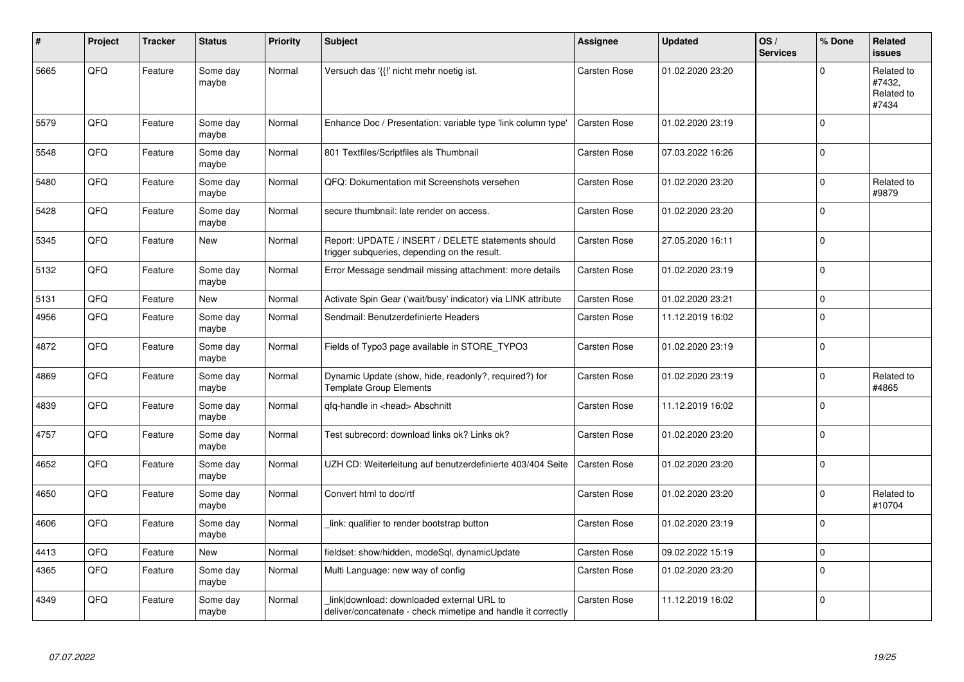| #    | Project | <b>Tracker</b> | <b>Status</b>     | <b>Priority</b> | <b>Subject</b>                                                                                            | <b>Assignee</b>     | <b>Updated</b>   | OS/<br><b>Services</b> | % Done      | Related<br>issues                           |
|------|---------|----------------|-------------------|-----------------|-----------------------------------------------------------------------------------------------------------|---------------------|------------------|------------------------|-------------|---------------------------------------------|
| 5665 | QFQ     | Feature        | Some day<br>maybe | Normal          | Versuch das '{{!' nicht mehr noetig ist.                                                                  | Carsten Rose        | 01.02.2020 23:20 |                        | $\Omega$    | Related to<br>#7432,<br>Related to<br>#7434 |
| 5579 | QFQ     | Feature        | Some day<br>maybe | Normal          | Enhance Doc / Presentation: variable type 'link column type'                                              | <b>Carsten Rose</b> | 01.02.2020 23:19 |                        | 0           |                                             |
| 5548 | QFQ     | Feature        | Some day<br>maybe | Normal          | 801 Textfiles/Scriptfiles als Thumbnail                                                                   | Carsten Rose        | 07.03.2022 16:26 |                        | 0           |                                             |
| 5480 | QFQ     | Feature        | Some day<br>maybe | Normal          | QFQ: Dokumentation mit Screenshots versehen                                                               | Carsten Rose        | 01.02.2020 23:20 |                        | 0           | Related to<br>#9879                         |
| 5428 | QFQ     | Feature        | Some day<br>maybe | Normal          | secure thumbnail: late render on access.                                                                  | Carsten Rose        | 01.02.2020 23:20 |                        | $\Omega$    |                                             |
| 5345 | QFQ     | Feature        | <b>New</b>        | Normal          | Report: UPDATE / INSERT / DELETE statements should<br>trigger subqueries, depending on the result.        | Carsten Rose        | 27.05.2020 16:11 |                        | 0           |                                             |
| 5132 | QFQ     | Feature        | Some day<br>maybe | Normal          | Error Message sendmail missing attachment: more details                                                   | Carsten Rose        | 01.02.2020 23:19 |                        | $\Omega$    |                                             |
| 5131 | QFQ     | Feature        | New               | Normal          | Activate Spin Gear ('wait/busy' indicator) via LINK attribute                                             | Carsten Rose        | 01.02.2020 23:21 |                        | $\mathbf 0$ |                                             |
| 4956 | QFQ     | Feature        | Some day<br>maybe | Normal          | Sendmail: Benutzerdefinierte Headers                                                                      | Carsten Rose        | 11.12.2019 16:02 |                        | $\Omega$    |                                             |
| 4872 | QFQ     | Feature        | Some day<br>maybe | Normal          | Fields of Typo3 page available in STORE_TYPO3                                                             | Carsten Rose        | 01.02.2020 23:19 |                        | $\pmb{0}$   |                                             |
| 4869 | QFQ     | Feature        | Some day<br>maybe | Normal          | Dynamic Update (show, hide, readonly?, required?) for<br><b>Template Group Elements</b>                   | Carsten Rose        | 01.02.2020 23:19 |                        | $\Omega$    | Related to<br>#4865                         |
| 4839 | QFQ     | Feature        | Some day<br>maybe | Normal          | qfq-handle in <head> Abschnitt</head>                                                                     | Carsten Rose        | 11.12.2019 16:02 |                        | $\Omega$    |                                             |
| 4757 | QFQ     | Feature        | Some day<br>maybe | Normal          | Test subrecord: download links ok? Links ok?                                                              | Carsten Rose        | 01.02.2020 23:20 |                        | $\Omega$    |                                             |
| 4652 | QFQ     | Feature        | Some day<br>maybe | Normal          | UZH CD: Weiterleitung auf benutzerdefinierte 403/404 Seite                                                | Carsten Rose        | 01.02.2020 23:20 |                        | $\Omega$    |                                             |
| 4650 | QFQ     | Feature        | Some day<br>maybe | Normal          | Convert html to doc/rtf                                                                                   | Carsten Rose        | 01.02.2020 23:20 |                        | $\Omega$    | Related to<br>#10704                        |
| 4606 | QFQ     | Feature        | Some day<br>maybe | Normal          | link: qualifier to render bootstrap button                                                                | Carsten Rose        | 01.02.2020 23:19 |                        | $\Omega$    |                                             |
| 4413 | QFQ     | Feature        | New               | Normal          | fieldset: show/hidden, modeSql, dynamicUpdate                                                             | Carsten Rose        | 09.02.2022 15:19 |                        | $\Omega$    |                                             |
| 4365 | QFQ     | Feature        | Some day<br>maybe | Normal          | Multi Language: new way of config                                                                         | Carsten Rose        | 01.02.2020 23:20 |                        | $\mathbf 0$ |                                             |
| 4349 | QFQ     | Feature        | Some day<br>maybe | Normal          | link download: downloaded external URL to<br>deliver/concatenate - check mimetipe and handle it correctly | <b>Carsten Rose</b> | 11.12.2019 16:02 |                        | $\Omega$    |                                             |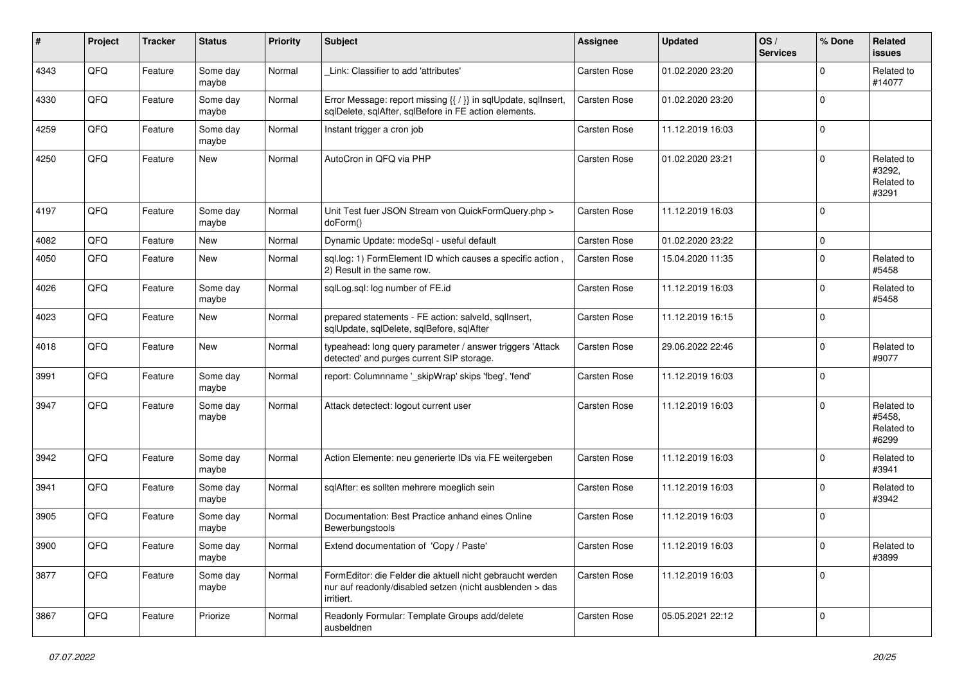| #    | Project | <b>Tracker</b> | <b>Status</b>     | <b>Priority</b> | <b>Subject</b>                                                                                                                      | Assignee            | <b>Updated</b>   | OS/<br><b>Services</b> | % Done      | Related<br>issues                           |
|------|---------|----------------|-------------------|-----------------|-------------------------------------------------------------------------------------------------------------------------------------|---------------------|------------------|------------------------|-------------|---------------------------------------------|
| 4343 | QFQ     | Feature        | Some day<br>maybe | Normal          | Link: Classifier to add 'attributes'                                                                                                | Carsten Rose        | 01.02.2020 23:20 |                        | $\mathbf 0$ | Related to<br>#14077                        |
| 4330 | QFQ     | Feature        | Some day<br>maybe | Normal          | Error Message: report missing {{ / }} in sqlUpdate, sqlInsert,<br>sqlDelete, sqlAfter, sqlBefore in FE action elements.             | Carsten Rose        | 01.02.2020 23:20 |                        | $\mathbf 0$ |                                             |
| 4259 | QFQ     | Feature        | Some day<br>maybe | Normal          | Instant trigger a cron job                                                                                                          | Carsten Rose        | 11.12.2019 16:03 |                        | $\mathbf 0$ |                                             |
| 4250 | QFQ     | Feature        | New               | Normal          | AutoCron in QFQ via PHP                                                                                                             | Carsten Rose        | 01.02.2020 23:21 |                        | $\mathbf 0$ | Related to<br>#3292.<br>Related to<br>#3291 |
| 4197 | QFQ     | Feature        | Some day<br>maybe | Normal          | Unit Test fuer JSON Stream von QuickFormQuery.php ><br>doForm()                                                                     | Carsten Rose        | 11.12.2019 16:03 |                        | $\mathbf 0$ |                                             |
| 4082 | QFQ     | Feature        | New               | Normal          | Dynamic Update: modeSql - useful default                                                                                            | Carsten Rose        | 01.02.2020 23:22 |                        | $\mathbf 0$ |                                             |
| 4050 | QFQ     | Feature        | New               | Normal          | sql.log: 1) FormElement ID which causes a specific action,<br>2) Result in the same row.                                            | <b>Carsten Rose</b> | 15.04.2020 11:35 |                        | $\mathbf 0$ | Related to<br>#5458                         |
| 4026 | QFQ     | Feature        | Some day<br>maybe | Normal          | sqlLog.sql: log number of FE.id                                                                                                     | Carsten Rose        | 11.12.2019 16:03 |                        | $\mathbf 0$ | Related to<br>#5458                         |
| 4023 | QFQ     | Feature        | New               | Normal          | prepared statements - FE action: salveld, sqllnsert,<br>sqlUpdate, sqlDelete, sqlBefore, sqlAfter                                   | <b>Carsten Rose</b> | 11.12.2019 16:15 |                        | $\mathbf 0$ |                                             |
| 4018 | QFQ     | Feature        | New               | Normal          | typeahead: long query parameter / answer triggers 'Attack<br>detected' and purges current SIP storage.                              | <b>Carsten Rose</b> | 29.06.2022 22:46 |                        | $\mathbf 0$ | Related to<br>#9077                         |
| 3991 | QFQ     | Feature        | Some day<br>maybe | Normal          | report: Columnname ' skipWrap' skips 'fbeg', 'fend'                                                                                 | Carsten Rose        | 11.12.2019 16:03 |                        | $\mathbf 0$ |                                             |
| 3947 | QFQ     | Feature        | Some day<br>maybe | Normal          | Attack detectect: logout current user                                                                                               | Carsten Rose        | 11.12.2019 16:03 |                        | $\Omega$    | Related to<br>#5458,<br>Related to<br>#6299 |
| 3942 | QFQ     | Feature        | Some day<br>maybe | Normal          | Action Elemente: neu generierte IDs via FE weitergeben                                                                              | <b>Carsten Rose</b> | 11.12.2019 16:03 |                        | $\mathbf 0$ | Related to<br>#3941                         |
| 3941 | QFQ     | Feature        | Some day<br>maybe | Normal          | sqlAfter: es sollten mehrere moeglich sein                                                                                          | <b>Carsten Rose</b> | 11.12.2019 16:03 |                        | $\mathbf 0$ | Related to<br>#3942                         |
| 3905 | QFQ     | Feature        | Some day<br>maybe | Normal          | Documentation: Best Practice anhand eines Online<br>Bewerbungstools                                                                 | Carsten Rose        | 11.12.2019 16:03 |                        | $\mathbf 0$ |                                             |
| 3900 | QFQ     | Feature        | Some day<br>maybe | Normal          | Extend documentation of 'Copy / Paste'                                                                                              | Carsten Rose        | 11.12.2019 16:03 |                        | $\mathsf 0$ | Related to<br>#3899                         |
| 3877 | QFQ     | Feature        | Some day<br>maybe | Normal          | FormEditor: die Felder die aktuell nicht gebraucht werden<br>nur auf readonly/disabled setzen (nicht ausblenden > das<br>irritiert. | Carsten Rose        | 11.12.2019 16:03 |                        | $\mathbf 0$ |                                             |
| 3867 | QFQ     | Feature        | Priorize          | Normal          | Readonly Formular: Template Groups add/delete<br>ausbeldnen                                                                         | Carsten Rose        | 05.05.2021 22:12 |                        | $\mathbf 0$ |                                             |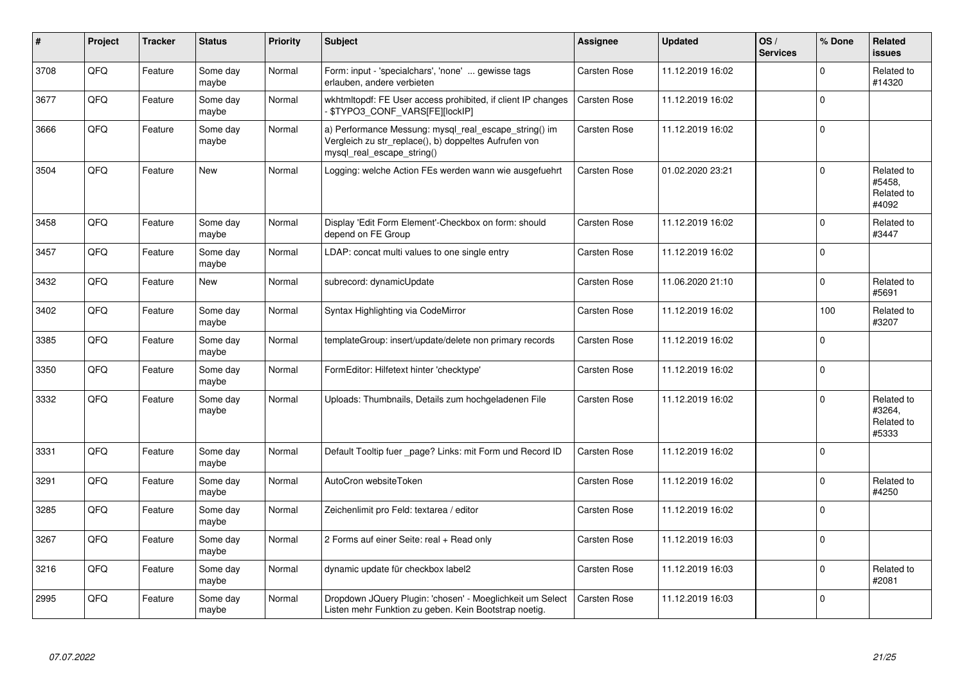| #    | Project | <b>Tracker</b> | <b>Status</b>     | <b>Priority</b> | <b>Subject</b>                                                                                                                               | <b>Assignee</b>     | <b>Updated</b>   | OS/<br><b>Services</b> | % Done      | <b>Related</b><br><b>issues</b>             |
|------|---------|----------------|-------------------|-----------------|----------------------------------------------------------------------------------------------------------------------------------------------|---------------------|------------------|------------------------|-------------|---------------------------------------------|
| 3708 | QFQ     | Feature        | Some day<br>maybe | Normal          | Form: input - 'specialchars', 'none'  gewisse tags<br>erlauben, andere verbieten                                                             | <b>Carsten Rose</b> | 11.12.2019 16:02 |                        | $\Omega$    | Related to<br>#14320                        |
| 3677 | QFQ     | Feature        | Some day<br>maybe | Normal          | wkhtmitopdf: FE User access prohibited, if client IP changes<br>\$TYPO3_CONF_VARS[FE][lockIP]                                                | Carsten Rose        | 11.12.2019 16:02 |                        | $\Omega$    |                                             |
| 3666 | QFQ     | Feature        | Some day<br>maybe | Normal          | a) Performance Messung: mysql_real_escape_string() im<br>Vergleich zu str_replace(), b) doppeltes Aufrufen von<br>mysql real escape string() | Carsten Rose        | 11.12.2019 16:02 |                        | $\Omega$    |                                             |
| 3504 | QFQ     | Feature        | <b>New</b>        | Normal          | Logging: welche Action FEs werden wann wie ausgefuehrt                                                                                       | <b>Carsten Rose</b> | 01.02.2020 23:21 |                        | $\Omega$    | Related to<br>#5458,<br>Related to<br>#4092 |
| 3458 | QFQ     | Feature        | Some day<br>maybe | Normal          | Display 'Edit Form Element'-Checkbox on form: should<br>depend on FE Group                                                                   | Carsten Rose        | 11.12.2019 16:02 |                        | $\Omega$    | Related to<br>#3447                         |
| 3457 | QFQ     | Feature        | Some day<br>maybe | Normal          | LDAP: concat multi values to one single entry                                                                                                | Carsten Rose        | 11.12.2019 16:02 |                        | $\Omega$    |                                             |
| 3432 | QFQ     | Feature        | <b>New</b>        | Normal          | subrecord: dynamicUpdate                                                                                                                     | Carsten Rose        | 11.06.2020 21:10 |                        | $\Omega$    | Related to<br>#5691                         |
| 3402 | QFQ     | Feature        | Some day<br>maybe | Normal          | Syntax Highlighting via CodeMirror                                                                                                           | Carsten Rose        | 11.12.2019 16:02 |                        | 100         | Related to<br>#3207                         |
| 3385 | QFQ     | Feature        | Some day<br>maybe | Normal          | templateGroup: insert/update/delete non primary records                                                                                      | Carsten Rose        | 11.12.2019 16:02 |                        | $\Omega$    |                                             |
| 3350 | QFQ     | Feature        | Some day<br>maybe | Normal          | FormEditor: Hilfetext hinter 'checktype'                                                                                                     | Carsten Rose        | 11.12.2019 16:02 |                        | $\Omega$    |                                             |
| 3332 | QFQ     | Feature        | Some day<br>maybe | Normal          | Uploads: Thumbnails, Details zum hochgeladenen File                                                                                          | <b>Carsten Rose</b> | 11.12.2019 16:02 |                        | $\Omega$    | Related to<br>#3264,<br>Related to<br>#5333 |
| 3331 | QFQ     | Feature        | Some day<br>maybe | Normal          | Default Tooltip fuer _page? Links: mit Form und Record ID                                                                                    | <b>Carsten Rose</b> | 11.12.2019 16:02 |                        | $\Omega$    |                                             |
| 3291 | QFQ     | Feature        | Some day<br>maybe | Normal          | AutoCron websiteToken                                                                                                                        | Carsten Rose        | 11.12.2019 16:02 |                        | $\Omega$    | Related to<br>#4250                         |
| 3285 | QFQ     | Feature        | Some day<br>maybe | Normal          | Zeichenlimit pro Feld: textarea / editor                                                                                                     | Carsten Rose        | 11.12.2019 16:02 |                        | $\Omega$    |                                             |
| 3267 | QFQ     | Feature        | Some day<br>maybe | Normal          | 2 Forms auf einer Seite: real + Read only                                                                                                    | Carsten Rose        | 11.12.2019 16:03 |                        | $\Omega$    |                                             |
| 3216 | QFQ     | Feature        | Some day<br>maybe | Normal          | dynamic update für checkbox label2                                                                                                           | Carsten Rose        | 11.12.2019 16:03 |                        | $\mathbf 0$ | Related to<br>#2081                         |
| 2995 | QFQ     | Feature        | Some day<br>maybe | Normal          | Dropdown JQuery Plugin: 'chosen' - Moeglichkeit um Select<br>Listen mehr Funktion zu geben. Kein Bootstrap noetig.                           | <b>Carsten Rose</b> | 11.12.2019 16:03 |                        | $\Omega$    |                                             |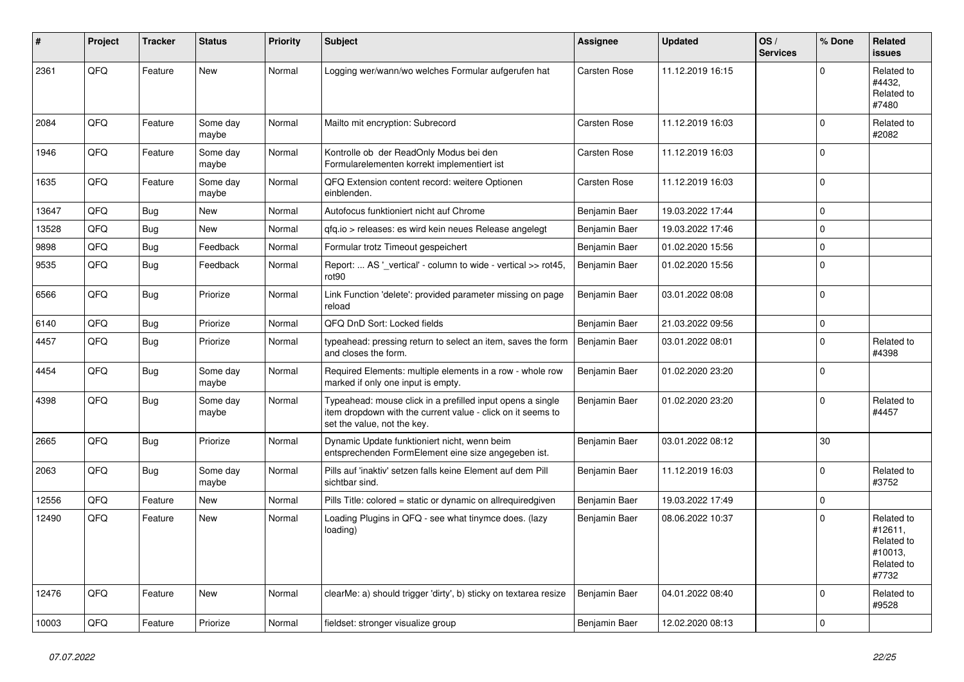| ∦     | Project | <b>Tracker</b> | <b>Status</b>     | <b>Priority</b> | <b>Subject</b>                                                                                                                                           | <b>Assignee</b>     | <b>Updated</b>   | OS/<br><b>Services</b> | % Done   | Related<br>issues                                                     |
|-------|---------|----------------|-------------------|-----------------|----------------------------------------------------------------------------------------------------------------------------------------------------------|---------------------|------------------|------------------------|----------|-----------------------------------------------------------------------|
| 2361  | QFQ     | Feature        | <b>New</b>        | Normal          | Logging wer/wann/wo welches Formular aufgerufen hat                                                                                                      | <b>Carsten Rose</b> | 11.12.2019 16:15 |                        | $\Omega$ | Related to<br>#4432,<br>Related to<br>#7480                           |
| 2084  | QFQ     | Feature        | Some day<br>maybe | Normal          | Mailto mit encryption: Subrecord                                                                                                                         | Carsten Rose        | 11.12.2019 16:03 |                        | $\Omega$ | Related to<br>#2082                                                   |
| 1946  | QFQ     | Feature        | Some day<br>maybe | Normal          | Kontrolle ob der ReadOnly Modus bei den<br>Formularelementen korrekt implementiert ist                                                                   | Carsten Rose        | 11.12.2019 16:03 |                        | $\Omega$ |                                                                       |
| 1635  | QFQ     | Feature        | Some day<br>maybe | Normal          | QFQ Extension content record: weitere Optionen<br>einblenden.                                                                                            | Carsten Rose        | 11.12.2019 16:03 |                        | $\Omega$ |                                                                       |
| 13647 | QFQ     | Bug            | <b>New</b>        | Normal          | Autofocus funktioniert nicht auf Chrome                                                                                                                  | Benjamin Baer       | 19.03.2022 17:44 |                        | $\Omega$ |                                                                       |
| 13528 | QFQ     | Bug            | New               | Normal          | gfg.io > releases: es wird kein neues Release angelegt                                                                                                   | Benjamin Baer       | 19.03.2022 17:46 |                        | $\Omega$ |                                                                       |
| 9898  | QFQ     | Bug            | Feedback          | Normal          | Formular trotz Timeout gespeichert                                                                                                                       | Benjamin Baer       | 01.02.2020 15:56 |                        | $\Omega$ |                                                                       |
| 9535  | QFQ     | <b>Bug</b>     | Feedback          | Normal          | Report:  AS '_vertical' - column to wide - vertical >> rot45,<br>rot <sub>90</sub>                                                                       | Benjamin Baer       | 01.02.2020 15:56 |                        | $\Omega$ |                                                                       |
| 6566  | QFQ     | <b>Bug</b>     | Priorize          | Normal          | Link Function 'delete': provided parameter missing on page<br>reload                                                                                     | Benjamin Baer       | 03.01.2022 08:08 |                        | $\Omega$ |                                                                       |
| 6140  | QFQ     | <b>Bug</b>     | Priorize          | Normal          | QFQ DnD Sort: Locked fields                                                                                                                              | Benjamin Baer       | 21.03.2022 09:56 |                        | 0        |                                                                       |
| 4457  | QFQ     | Bug            | Priorize          | Normal          | typeahead: pressing return to select an item, saves the form<br>and closes the form.                                                                     | Benjamin Baer       | 03.01.2022 08:01 |                        | $\Omega$ | Related to<br>#4398                                                   |
| 4454  | QFQ     | <b>Bug</b>     | Some day<br>maybe | Normal          | Required Elements: multiple elements in a row - whole row<br>marked if only one input is empty.                                                          | Benjamin Baer       | 01.02.2020 23:20 |                        | $\Omega$ |                                                                       |
| 4398  | QFQ     | <b>Bug</b>     | Some day<br>maybe | Normal          | Typeahead: mouse click in a prefilled input opens a single<br>item dropdown with the current value - click on it seems to<br>set the value, not the key. | Benjamin Baer       | 01.02.2020 23:20 |                        | $\Omega$ | Related to<br>#4457                                                   |
| 2665  | QFQ     | Bug            | Priorize          | Normal          | Dynamic Update funktioniert nicht, wenn beim<br>entsprechenden FormElement eine size angegeben ist.                                                      | Benjamin Baer       | 03.01.2022 08:12 |                        | 30       |                                                                       |
| 2063  | QFQ     | <b>Bug</b>     | Some day<br>maybe | Normal          | Pills auf 'inaktiv' setzen falls keine Element auf dem Pill<br>sichtbar sind.                                                                            | Benjamin Baer       | 11.12.2019 16:03 |                        | $\Omega$ | Related to<br>#3752                                                   |
| 12556 | QFQ     | Feature        | <b>New</b>        | Normal          | Pills Title: colored = static or dynamic on allrequiredgiven                                                                                             | Benjamin Baer       | 19.03.2022 17:49 |                        | 0        |                                                                       |
| 12490 | QFQ     | Feature        | <b>New</b>        | Normal          | Loading Plugins in QFQ - see what tinymce does. (lazy<br>loading)                                                                                        | Benjamin Baer       | 08.06.2022 10:37 |                        | $\Omega$ | Related to<br>#12611,<br>Related to<br>#10013,<br>Related to<br>#7732 |
| 12476 | QFQ     | Feature        | New               | Normal          | clearMe: a) should trigger 'dirty', b) sticky on textarea resize                                                                                         | Benjamin Baer       | 04.01.2022 08:40 |                        | $\Omega$ | Related to<br>#9528                                                   |
| 10003 | QFQ     | Feature        | Priorize          | Normal          | fieldset: stronger visualize group                                                                                                                       | Benjamin Baer       | 12.02.2020 08:13 |                        | $\Omega$ |                                                                       |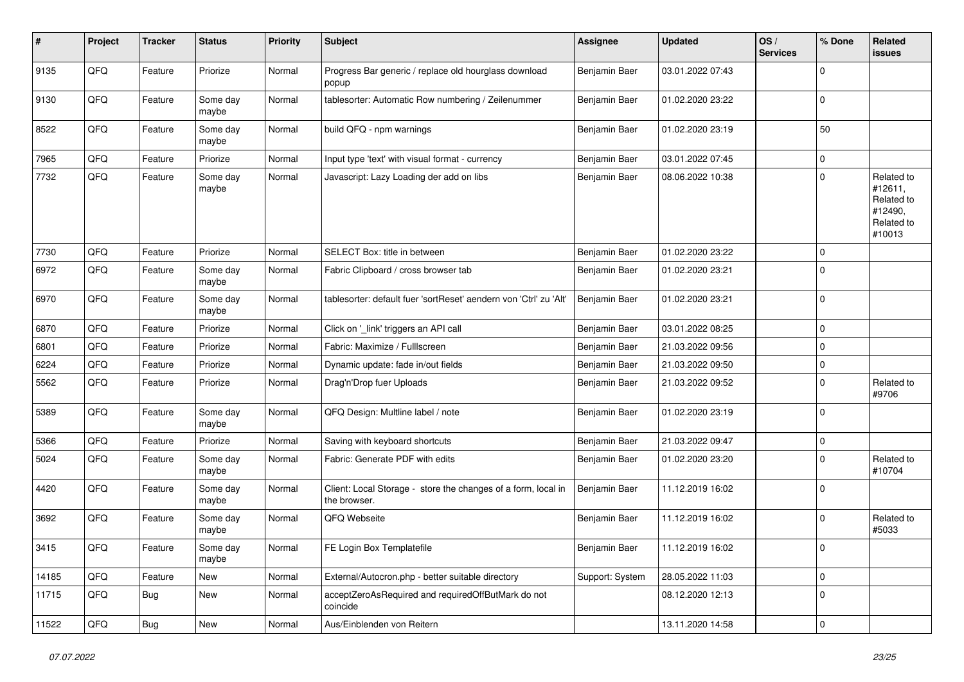| #     | Project        | <b>Tracker</b> | <b>Status</b>     | <b>Priority</b> | <b>Subject</b>                                                                | <b>Assignee</b> | <b>Updated</b>   | OS/<br><b>Services</b> | % Done      | Related<br><b>issues</b>                                               |
|-------|----------------|----------------|-------------------|-----------------|-------------------------------------------------------------------------------|-----------------|------------------|------------------------|-------------|------------------------------------------------------------------------|
| 9135  | QFQ            | Feature        | Priorize          | Normal          | Progress Bar generic / replace old hourglass download<br>popup                | Benjamin Baer   | 03.01.2022 07:43 |                        | $\mathbf 0$ |                                                                        |
| 9130  | QFQ            | Feature        | Some day<br>maybe | Normal          | tablesorter: Automatic Row numbering / Zeilenummer                            | Benjamin Baer   | 01.02.2020 23:22 |                        | $\mathbf 0$ |                                                                        |
| 8522  | QFQ            | Feature        | Some day<br>maybe | Normal          | build QFQ - npm warnings                                                      | Benjamin Baer   | 01.02.2020 23:19 |                        | 50          |                                                                        |
| 7965  | QFQ            | Feature        | Priorize          | Normal          | Input type 'text' with visual format - currency                               | Benjamin Baer   | 03.01.2022 07:45 |                        | $\mathbf 0$ |                                                                        |
| 7732  | QFQ            | Feature        | Some day<br>maybe | Normal          | Javascript: Lazy Loading der add on libs                                      | Benjamin Baer   | 08.06.2022 10:38 |                        | $\mathbf 0$ | Related to<br>#12611,<br>Related to<br>#12490,<br>Related to<br>#10013 |
| 7730  | QFQ            | Feature        | Priorize          | Normal          | SELECT Box: title in between                                                  | Benjamin Baer   | 01.02.2020 23:22 |                        | $\mathbf 0$ |                                                                        |
| 6972  | QFQ            | Feature        | Some day<br>maybe | Normal          | Fabric Clipboard / cross browser tab                                          | Benjamin Baer   | 01.02.2020 23:21 |                        | $\mathbf 0$ |                                                                        |
| 6970  | QFQ            | Feature        | Some day<br>maybe | Normal          | tablesorter: default fuer 'sortReset' aendern von 'Ctrl' zu 'Alt'             | Benjamin Baer   | 01.02.2020 23:21 |                        | $\mathbf 0$ |                                                                        |
| 6870  | QFQ            | Feature        | Priorize          | Normal          | Click on '_link' triggers an API call                                         | Benjamin Baer   | 03.01.2022 08:25 |                        | $\pmb{0}$   |                                                                        |
| 6801  | QFQ            | Feature        | Priorize          | Normal          | Fabric: Maximize / Fulllscreen                                                | Benjamin Baer   | 21.03.2022 09:56 |                        | $\pmb{0}$   |                                                                        |
| 6224  | QFQ            | Feature        | Priorize          | Normal          | Dynamic update: fade in/out fields                                            | Benjamin Baer   | 21.03.2022 09:50 |                        | $\mathbf 0$ |                                                                        |
| 5562  | QFQ            | Feature        | Priorize          | Normal          | Drag'n'Drop fuer Uploads                                                      | Benjamin Baer   | 21.03.2022 09:52 |                        | $\mathbf 0$ | Related to<br>#9706                                                    |
| 5389  | QFQ            | Feature        | Some day<br>maybe | Normal          | QFQ Design: Multline label / note                                             | Benjamin Baer   | 01.02.2020 23:19 |                        | $\mathbf 0$ |                                                                        |
| 5366  | QFQ            | Feature        | Priorize          | Normal          | Saving with keyboard shortcuts                                                | Benjamin Baer   | 21.03.2022 09:47 |                        | $\mathbf 0$ |                                                                        |
| 5024  | QFQ            | Feature        | Some day<br>maybe | Normal          | Fabric: Generate PDF with edits                                               | Benjamin Baer   | 01.02.2020 23:20 |                        | $\pmb{0}$   | Related to<br>#10704                                                   |
| 4420  | QFQ            | Feature        | Some day<br>maybe | Normal          | Client: Local Storage - store the changes of a form, local in<br>the browser. | Benjamin Baer   | 11.12.2019 16:02 |                        | $\mathbf 0$ |                                                                        |
| 3692  | QFQ            | Feature        | Some day<br>maybe | Normal          | QFQ Webseite                                                                  | Benjamin Baer   | 11.12.2019 16:02 |                        | $\mathbf 0$ | Related to<br>#5033                                                    |
| 3415  | QFG            | Feature        | Some day<br>maybe | Normal          | FE Login Box Templatefile                                                     | Benjamin Baer   | 11.12.2019 16:02 |                        | $\mathsf 0$ |                                                                        |
| 14185 | QFQ            | Feature        | New               | Normal          | External/Autocron.php - better suitable directory                             | Support: System | 28.05.2022 11:03 |                        | $\pmb{0}$   |                                                                        |
| 11715 | QFQ            | <b>Bug</b>     | New               | Normal          | acceptZeroAsRequired and requiredOffButMark do not<br>coincide                |                 | 08.12.2020 12:13 |                        | $\mathbf 0$ |                                                                        |
| 11522 | $\mathsf{QFQ}$ | Bug            | New               | Normal          | Aus/Einblenden von Reitern                                                    |                 | 13.11.2020 14:58 |                        | $\pmb{0}$   |                                                                        |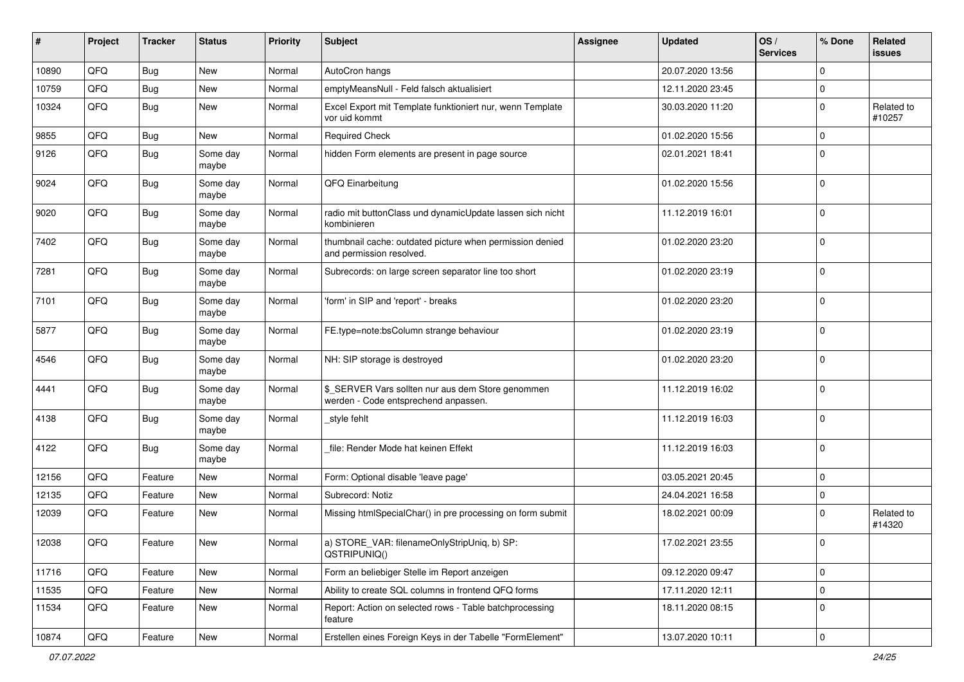| #     | Project | <b>Tracker</b> | <b>Status</b>     | <b>Priority</b> | <b>Subject</b>                                                                            | <b>Assignee</b> | <b>Updated</b>   | OS/<br><b>Services</b> | % Done      | Related<br>issues    |
|-------|---------|----------------|-------------------|-----------------|-------------------------------------------------------------------------------------------|-----------------|------------------|------------------------|-------------|----------------------|
| 10890 | QFQ     | <b>Bug</b>     | New               | Normal          | AutoCron hangs                                                                            |                 | 20.07.2020 13:56 |                        | $\Omega$    |                      |
| 10759 | QFQ     | Bug            | New               | Normal          | emptyMeansNull - Feld falsch aktualisiert                                                 |                 | 12.11.2020 23:45 |                        | $\mathbf 0$ |                      |
| 10324 | QFQ     | Bug            | New               | Normal          | Excel Export mit Template funktioniert nur, wenn Template<br>vor uid kommt                |                 | 30.03.2020 11:20 |                        | $\mathbf 0$ | Related to<br>#10257 |
| 9855  | QFQ     | Bug            | <b>New</b>        | Normal          | <b>Required Check</b>                                                                     |                 | 01.02.2020 15:56 |                        | $\mathbf 0$ |                      |
| 9126  | QFQ     | Bug            | Some day<br>maybe | Normal          | hidden Form elements are present in page source                                           |                 | 02.01.2021 18:41 |                        | $\Omega$    |                      |
| 9024  | QFQ     | Bug            | Some day<br>maybe | Normal          | QFQ Einarbeitung                                                                          |                 | 01.02.2020 15:56 |                        | $\Omega$    |                      |
| 9020  | QFQ     | Bug            | Some day<br>maybe | Normal          | radio mit buttonClass und dynamicUpdate lassen sich nicht<br>kombinieren                  |                 | 11.12.2019 16:01 |                        | $\mathbf 0$ |                      |
| 7402  | QFQ     | <b>Bug</b>     | Some day<br>maybe | Normal          | thumbnail cache: outdated picture when permission denied<br>and permission resolved.      |                 | 01.02.2020 23:20 |                        | $\mathbf 0$ |                      |
| 7281  | QFQ     | Bug            | Some day<br>maybe | Normal          | Subrecords: on large screen separator line too short                                      |                 | 01.02.2020 23:19 |                        | $\mathbf 0$ |                      |
| 7101  | QFQ     | Bug            | Some day<br>maybe | Normal          | 'form' in SIP and 'report' - breaks                                                       |                 | 01.02.2020 23:20 |                        | $\mathbf 0$ |                      |
| 5877  | QFQ     | <b>Bug</b>     | Some day<br>maybe | Normal          | FE.type=note:bsColumn strange behaviour                                                   |                 | 01.02.2020 23:19 |                        | $\mathbf 0$ |                      |
| 4546  | QFQ     | Bug            | Some day<br>maybe | Normal          | NH: SIP storage is destroyed                                                              |                 | 01.02.2020 23:20 |                        | $\mathbf 0$ |                      |
| 4441  | QFQ     | Bug            | Some day<br>maybe | Normal          | \$_SERVER Vars sollten nur aus dem Store genommen<br>werden - Code entsprechend anpassen. |                 | 11.12.2019 16:02 |                        | $\Omega$    |                      |
| 4138  | QFQ     | Bug            | Some day<br>maybe | Normal          | style fehlt                                                                               |                 | 11.12.2019 16:03 |                        | $\mathbf 0$ |                      |
| 4122  | QFQ     | Bug            | Some day<br>maybe | Normal          | file: Render Mode hat keinen Effekt                                                       |                 | 11.12.2019 16:03 |                        | $\Omega$    |                      |
| 12156 | QFQ     | Feature        | New               | Normal          | Form: Optional disable 'leave page'                                                       |                 | 03.05.2021 20:45 |                        | $\mathbf 0$ |                      |
| 12135 | QFQ     | Feature        | <b>New</b>        | Normal          | Subrecord: Notiz                                                                          |                 | 24.04.2021 16:58 |                        | $\mathbf 0$ |                      |
| 12039 | QFQ     | Feature        | New               | Normal          | Missing htmlSpecialChar() in pre processing on form submit                                |                 | 18.02.2021 00:09 |                        | $\Omega$    | Related to<br>#14320 |
| 12038 | QFQ     | Feature        | New               | Normal          | a) STORE_VAR: filenameOnlyStripUniq, b) SP:<br>QSTRIPUNIQ()                               |                 | 17.02.2021 23:55 |                        | $\mathbf 0$ |                      |
| 11716 | QFQ     | Feature        | New               | Normal          | Form an beliebiger Stelle im Report anzeigen                                              |                 | 09.12.2020 09:47 |                        | $\mathbf 0$ |                      |
| 11535 | QFQ     | Feature        | New               | Normal          | Ability to create SQL columns in frontend QFQ forms                                       |                 | 17.11.2020 12:11 |                        | 0           |                      |
| 11534 | QFQ     | Feature        | New               | Normal          | Report: Action on selected rows - Table batchprocessing<br>feature                        |                 | 18.11.2020 08:15 |                        | $\mathbf 0$ |                      |
| 10874 | QFQ     | Feature        | New               | Normal          | Erstellen eines Foreign Keys in der Tabelle "FormElement"                                 |                 | 13.07.2020 10:11 |                        | $\mathbf 0$ |                      |